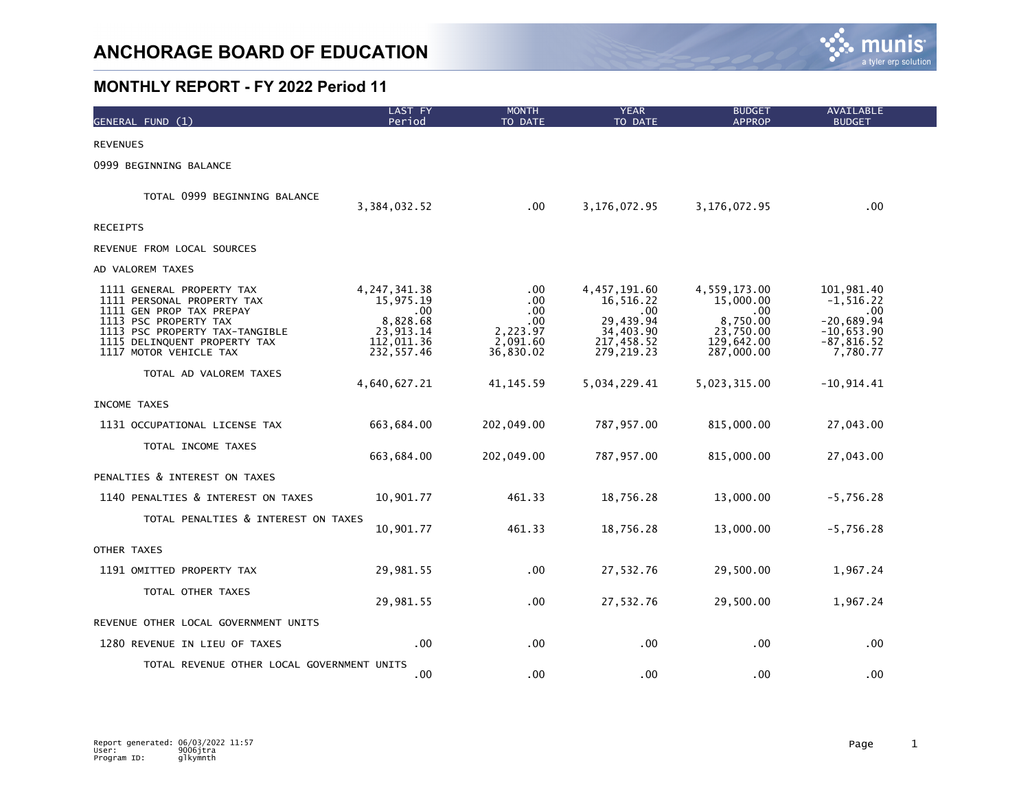

| GENERAL FUND (1)                                                                                                                                                                                         | <b>LAST FY</b><br>Period                                                                  | <b>MONTH</b><br>TO DATE                                              | <b>YEAR</b><br>TO DATE                                                                      | <b>BUDGET</b><br><b>APPROP</b>                                                         | <b>AVAILABLE</b><br><b>BUDGET</b>                                                                   |
|----------------------------------------------------------------------------------------------------------------------------------------------------------------------------------------------------------|-------------------------------------------------------------------------------------------|----------------------------------------------------------------------|---------------------------------------------------------------------------------------------|----------------------------------------------------------------------------------------|-----------------------------------------------------------------------------------------------------|
| <b>REVENUES</b>                                                                                                                                                                                          |                                                                                           |                                                                      |                                                                                             |                                                                                        |                                                                                                     |
| 0999 BEGINNING BALANCE                                                                                                                                                                                   |                                                                                           |                                                                      |                                                                                             |                                                                                        |                                                                                                     |
| TOTAL 0999 BEGINNING BALANCE                                                                                                                                                                             | 3,384,032.52                                                                              | .00                                                                  | 3,176,072.95                                                                                | 3,176,072.95                                                                           | $.00 \,$                                                                                            |
| <b>RECEIPTS</b>                                                                                                                                                                                          |                                                                                           |                                                                      |                                                                                             |                                                                                        |                                                                                                     |
| REVENUE FROM LOCAL SOURCES                                                                                                                                                                               |                                                                                           |                                                                      |                                                                                             |                                                                                        |                                                                                                     |
| AD VALOREM TAXES                                                                                                                                                                                         |                                                                                           |                                                                      |                                                                                             |                                                                                        |                                                                                                     |
| 1111 GENERAL PROPERTY TAX<br>1111 PERSONAL PROPERTY TAX<br>1111 GEN PROP TAX PREPAY<br>1113 PSC PROPERTY TAX<br>1113 PSC PROPERTY TAX-TANGIBLE<br>1115 DELINQUENT PROPERTY TAX<br>1117 MOTOR VEHICLE TAX | 4, 247, 341. 38<br>15,975.19<br>.00.<br>8,828.68<br>23,913.14<br>112,011.36<br>232,557.46 | .00<br>.00.<br>.00.<br>$.00 \,$<br>2,223.97<br>2,091.60<br>36,830.02 | 4,457,191.60<br>16,516.22<br>$.00 \,$<br>29,439.94<br>34,403.90<br>217,458.52<br>279,219.23 | 4,559,173.00<br>15,000.00<br>.00.<br>8,750.00<br>23,750.00<br>129,642.00<br>287,000.00 | 101,981.40<br>$-1, 516.22$<br>$.00 \,$<br>$-20,689.94$<br>$-10,653.90$<br>$-87, 816.52$<br>7,780.77 |
| TOTAL AD VALOREM TAXES                                                                                                                                                                                   | 4,640,627.21                                                                              | 41, 145.59                                                           | 5,034,229.41                                                                                | 5,023,315.00                                                                           | $-10,914.41$                                                                                        |
| INCOME TAXES                                                                                                                                                                                             |                                                                                           |                                                                      |                                                                                             |                                                                                        |                                                                                                     |
| 1131 OCCUPATIONAL LICENSE TAX                                                                                                                                                                            | 663,684.00                                                                                | 202,049.00                                                           | 787,957.00                                                                                  | 815,000.00                                                                             | 27,043.00                                                                                           |
| TOTAL INCOME TAXES                                                                                                                                                                                       | 663,684.00                                                                                | 202,049.00                                                           | 787,957.00                                                                                  | 815,000.00                                                                             | 27,043.00                                                                                           |
| PENALTIES & INTEREST ON TAXES                                                                                                                                                                            |                                                                                           |                                                                      |                                                                                             |                                                                                        |                                                                                                     |
| 1140 PENALTIES & INTEREST ON TAXES                                                                                                                                                                       | 10,901.77                                                                                 | 461.33                                                               | 18,756.28                                                                                   | 13,000.00                                                                              | $-5,756.28$                                                                                         |
| TOTAL PENALTIES & INTEREST ON TAXES                                                                                                                                                                      | 10,901.77                                                                                 | 461.33                                                               | 18,756.28                                                                                   | 13,000.00                                                                              | $-5,756.28$                                                                                         |
| OTHER TAXES                                                                                                                                                                                              |                                                                                           |                                                                      |                                                                                             |                                                                                        |                                                                                                     |
| 1191 OMITTED PROPERTY TAX                                                                                                                                                                                | 29,981.55                                                                                 | $.00 \,$                                                             | 27,532.76                                                                                   | 29,500.00                                                                              | 1,967.24                                                                                            |
| TOTAL OTHER TAXES                                                                                                                                                                                        | 29,981.55                                                                                 | $.00 \,$                                                             | 27,532.76                                                                                   | 29,500.00                                                                              | 1,967.24                                                                                            |
| REVENUE OTHER LOCAL GOVERNMENT UNITS                                                                                                                                                                     |                                                                                           |                                                                      |                                                                                             |                                                                                        |                                                                                                     |
| 1280 REVENUE IN LIEU OF TAXES                                                                                                                                                                            | $.00 \,$                                                                                  | .00                                                                  | .00                                                                                         | .00                                                                                    | $.00 \,$                                                                                            |
| TOTAL REVENUE OTHER LOCAL GOVERNMENT UNITS                                                                                                                                                               | $.00 \,$                                                                                  | .00                                                                  | .00                                                                                         | .00.                                                                                   | .00                                                                                                 |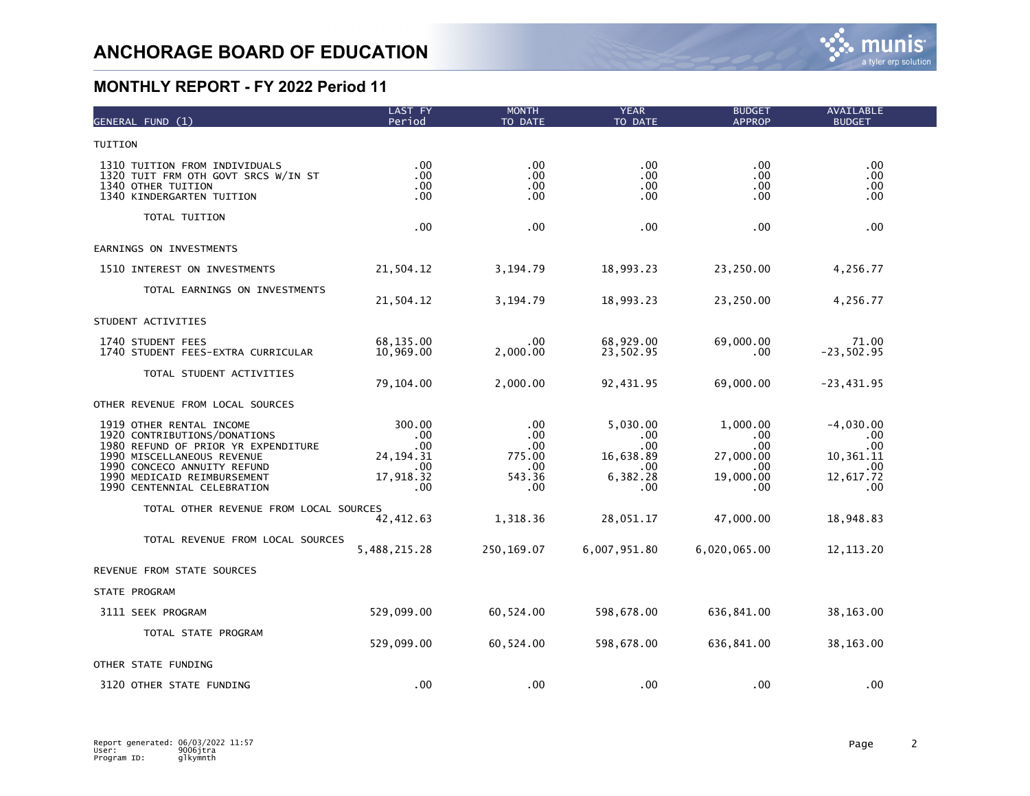| GENERAL FUND (1)                                                                                                                                                                                                           | LAST FY<br>Period                                               | <b>MONTH</b><br>TO DATE                                            | <b>YEAR</b><br>TO DATE                                                       | <b>BUDGET</b><br><b>APPROP</b>                                  | AVAILABLE<br><b>BUDGET</b>                                             |  |
|----------------------------------------------------------------------------------------------------------------------------------------------------------------------------------------------------------------------------|-----------------------------------------------------------------|--------------------------------------------------------------------|------------------------------------------------------------------------------|-----------------------------------------------------------------|------------------------------------------------------------------------|--|
| TUITION                                                                                                                                                                                                                    |                                                                 |                                                                    |                                                                              |                                                                 |                                                                        |  |
| 1310 TUITION FROM INDIVIDUALS<br>1320 TUIT FRM OTH GOVT SRCS W/IN ST<br>1340 OTHER TUITION<br>1340 KINDERGARTEN TUITION                                                                                                    | .00<br>.00<br>.00<br>$.00 \,$                                   | .00<br>$.00 \,$<br>.00<br>.00                                      | $.00 \,$<br>.00<br>.00.<br>.00                                               | .00<br>.00<br>.00.<br>.00                                       | .00<br>.00<br>.00.<br>.00                                              |  |
| TOTAL TUITION                                                                                                                                                                                                              | .00                                                             | .00                                                                | .00                                                                          | .00                                                             | .00.                                                                   |  |
| EARNINGS ON INVESTMENTS                                                                                                                                                                                                    |                                                                 |                                                                    |                                                                              |                                                                 |                                                                        |  |
| 1510 INTEREST ON INVESTMENTS                                                                                                                                                                                               | 21,504.12                                                       | 3,194.79                                                           | 18,993.23                                                                    | 23,250.00                                                       | 4,256.77                                                               |  |
| TOTAL EARNINGS ON INVESTMENTS                                                                                                                                                                                              | 21,504.12                                                       | 3,194.79                                                           | 18,993.23                                                                    | 23,250.00                                                       | 4,256.77                                                               |  |
| STUDENT ACTIVITIES                                                                                                                                                                                                         |                                                                 |                                                                    |                                                                              |                                                                 |                                                                        |  |
| 1740 STUDENT FEES<br>1740 STUDENT FEES-EXTRA CURRICULAR                                                                                                                                                                    | 68,135.00<br>10,969.00                                          | .00<br>2,000.00                                                    | 68,929.00<br>23,502.95                                                       | 69,000.00<br>.00                                                | 71.00<br>$-23,502.95$                                                  |  |
| TOTAL STUDENT ACTIVITIES                                                                                                                                                                                                   | 79,104.00                                                       | 2,000.00                                                           | 92,431.95                                                                    | 69,000.00                                                       | $-23,431.95$                                                           |  |
| OTHER REVENUE FROM LOCAL SOURCES                                                                                                                                                                                           |                                                                 |                                                                    |                                                                              |                                                                 |                                                                        |  |
| 1919 OTHER RENTAL INCOME<br>1920 CONTRIBUTIONS/DONATIONS<br>1980 REFUND OF PRIOR YR EXPENDITURE<br>1990 MISCELLANEOUS REVENUE<br>1990 CONCECO ANNUITY REFUND<br>1990 MEDICAID REIMBURSEMENT<br>1990 CENTENNIAL CELEBRATION | 300.00<br>.00.<br>.00<br>24, 194. 31<br>.00<br>17,918.32<br>.00 | .00<br>$.00 \,$<br>$.00 \,$<br>775.00<br>$.00 \,$<br>543.36<br>.00 | 5,030.00<br>.00.<br>$.00 \,$<br>16,638.89<br>$.00 \times$<br>6,382.28<br>.00 | 1,000.00<br>.00.<br>.00<br>27,000.00<br>.00<br>19,000.00<br>.00 | $-4,030.00$<br>$.00 \,$<br>.00<br>10,361.11<br>.00<br>12,617.72<br>.00 |  |
| TOTAL OTHER REVENUE FROM LOCAL SOURCES                                                                                                                                                                                     |                                                                 |                                                                    |                                                                              |                                                                 |                                                                        |  |
| TOTAL REVENUE FROM LOCAL SOURCES                                                                                                                                                                                           | 42, 412.63<br>5,488,215.28                                      | 1,318.36<br>250,169.07                                             | 28,051.17<br>6,007,951.80                                                    | 47,000.00<br>6,020,065.00                                       | 18,948.83<br>12, 113. 20                                               |  |
| REVENUE FROM STATE SOURCES                                                                                                                                                                                                 |                                                                 |                                                                    |                                                                              |                                                                 |                                                                        |  |
| STATE PROGRAM                                                                                                                                                                                                              |                                                                 |                                                                    |                                                                              |                                                                 |                                                                        |  |
| 3111 SEEK PROGRAM                                                                                                                                                                                                          | 529,099.00                                                      | 60,524.00                                                          | 598,678.00                                                                   | 636,841.00                                                      | 38,163.00                                                              |  |
| TOTAL STATE PROGRAM                                                                                                                                                                                                        | 529,099.00                                                      | 60,524.00                                                          | 598,678.00                                                                   | 636,841.00                                                      | 38,163.00                                                              |  |
| OTHER STATE FUNDING                                                                                                                                                                                                        |                                                                 |                                                                    |                                                                              |                                                                 |                                                                        |  |
| 3120 OTHER STATE FUNDING                                                                                                                                                                                                   | .00                                                             | .00                                                                | .00                                                                          | .00                                                             | .00                                                                    |  |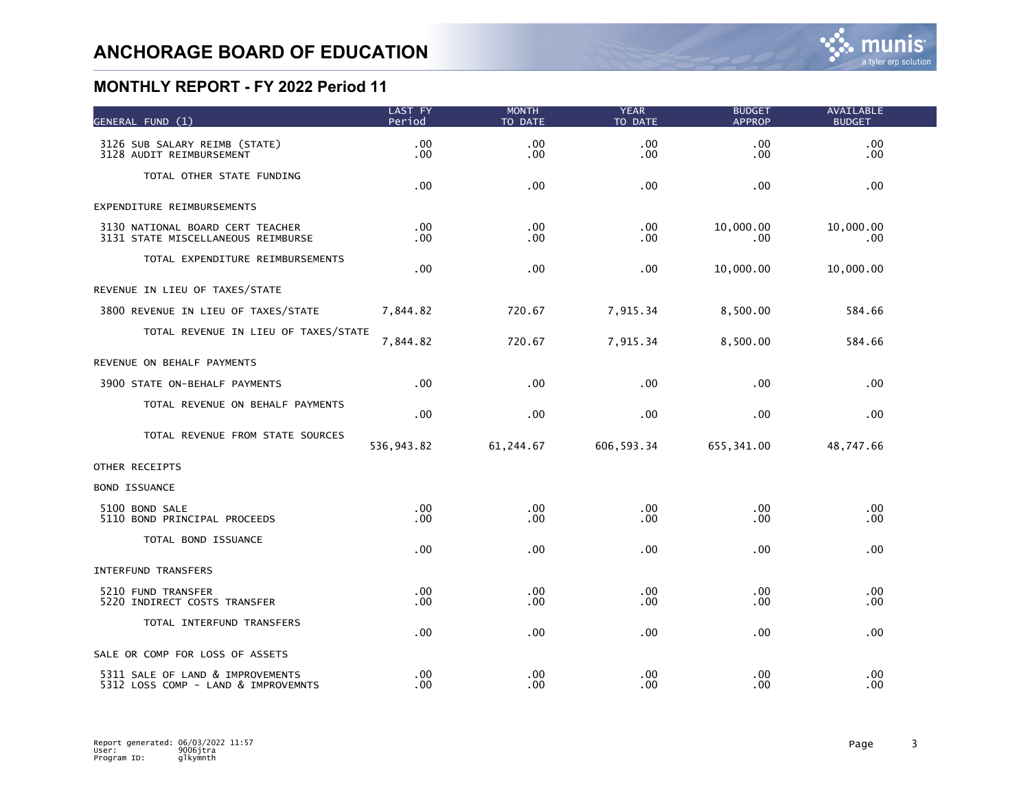| GENERAL FUND (1)                                                        | LAST FY<br>Period    | <b>MONTH</b><br>TO DATE      | <b>YEAR</b><br>TO DATE | <b>BUDGET</b><br><b>APPROP</b> | AVAILABLE<br><b>BUDGET</b> |  |
|-------------------------------------------------------------------------|----------------------|------------------------------|------------------------|--------------------------------|----------------------------|--|
| 3126 SUB SALARY REIMB (STATE)<br>3128 AUDIT REIMBURSEMENT               | .00<br>.00           | .00<br>$.00 \,$              | .00<br>.00             | .00<br>.00.                    | .00<br>.00.                |  |
| TOTAL OTHER STATE FUNDING                                               | .00                  | .00 <sub>1</sub>             | .00                    | .00                            | .00                        |  |
| EXPENDITURE REIMBURSEMENTS                                              |                      |                              |                        |                                |                            |  |
| 3130 NATIONAL BOARD CERT TEACHER<br>3131 STATE MISCELLANEOUS REIMBURSE  | $.00 \,$<br>.00      | $.00 \,$<br>$.00 \,$         | .00<br>.00             | 10,000.00<br>.00               | 10,000.00<br>.00.          |  |
| TOTAL EXPENDITURE REIMBURSEMENTS                                        | $.00 \,$             | .00 <sub>1</sub>             | .00                    | 10,000.00                      | 10,000.00                  |  |
| REVENUE IN LIEU OF TAXES/STATE                                          |                      |                              |                        |                                |                            |  |
| 3800 REVENUE IN LIEU OF TAXES/STATE                                     | 7,844.82             | 720.67                       | 7,915.34               | 8,500.00                       | 584.66                     |  |
| TOTAL REVENUE IN LIEU OF TAXES/STATE                                    | 7,844.82             | 720.67                       | 7,915.34               | 8,500.00                       | 584.66                     |  |
| REVENUE ON BEHALF PAYMENTS                                              |                      |                              |                        |                                |                            |  |
| 3900 STATE ON-BEHALF PAYMENTS                                           | $.00 \,$             | .00                          | .00                    | .00.                           | .00.                       |  |
| TOTAL REVENUE ON BEHALF PAYMENTS                                        | $.00 \,$             | $.00 \,$                     | .00                    | .00.                           | .00.                       |  |
| TOTAL REVENUE FROM STATE SOURCES                                        | 536,943.82           | 61, 244.67                   | 606, 593.34            | 655,341.00                     | 48,747.66                  |  |
| OTHER RECEIPTS                                                          |                      |                              |                        |                                |                            |  |
| <b>BOND ISSUANCE</b>                                                    |                      |                              |                        |                                |                            |  |
| 5100 BOND SALE<br>5110 BOND PRINCIPAL PROCEEDS                          | .00<br>.00.          | .00 <sub>1</sub><br>.00      | .00<br>.00             | $.00 \,$<br>.00                | .00<br>.00.                |  |
| TOTAL BOND ISSUANCE                                                     | $.00 \,$             | $.00 \,$                     | .00                    | .00.                           | .00                        |  |
| INTERFUND TRANSFERS                                                     |                      |                              |                        |                                |                            |  |
| 5210 FUND TRANSFER<br>5220 INDIRECT COSTS TRANSFER                      | $.00 \,$<br>$.00 \,$ | .00.<br>.00                  | .00<br>.00             | .00.<br>.00                    | .00.<br>.00.               |  |
| TOTAL INTERFUND TRANSFERS                                               | .00                  | .00                          | .00                    | .00.                           | .00                        |  |
| SALE OR COMP FOR LOSS OF ASSETS                                         |                      |                              |                        |                                |                            |  |
| 5311 SALE OF LAND & IMPROVEMENTS<br>5312 LOSS COMP - LAND & IMPROVEMNTS | $.00 \,$<br>.00      | $.00 \,$<br>.00 <sub>1</sub> | .00<br>.00             | .00.<br>.00.                   | .00<br>.00                 |  |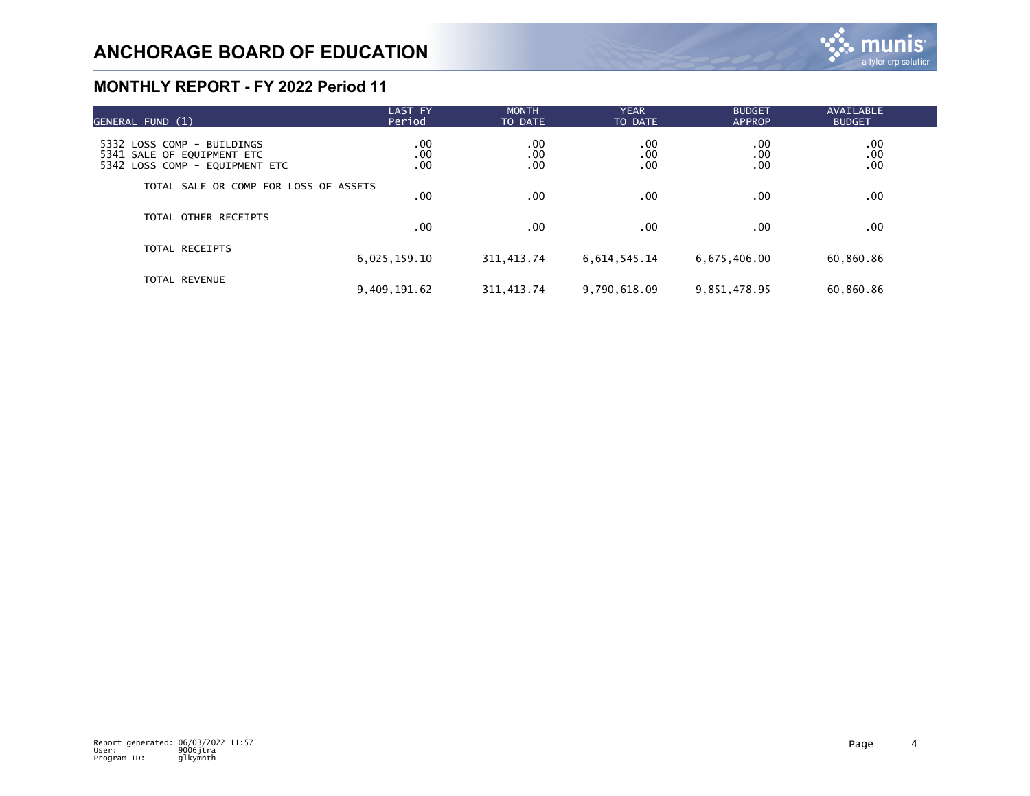| GENERAL FUND (1)                                                                           | <b>LAST FY</b><br>Period | <b>MONTH</b><br>TO DATE | <b>YEAR</b><br>TO DATE | <b>BUDGET</b><br><b>APPROP</b> | <b>AVAILABLE</b><br><b>BUDGET</b>                  |  |
|--------------------------------------------------------------------------------------------|--------------------------|-------------------------|------------------------|--------------------------------|----------------------------------------------------|--|
| 5332 LOSS COMP - BUILDINGS<br>5341 SALE OF EQUIPMENT ETC<br>5342 LOSS COMP - EOUIPMENT ETC | .00<br>.00<br>.00        | .00<br>.00<br>.00       | .00<br>.00<br>.00      | .00<br>.00<br>.00              | $\begin{array}{c} 0.00 \\ -0.0 \end{array}$<br>.00 |  |
| TOTAL SALE OR COMP FOR LOSS OF ASSETS                                                      | .00                      | $.00 \,$                | .00                    | .00                            | .00.                                               |  |
| TOTAL OTHER RECEIPTS                                                                       | .00                      | .00                     | .00                    | .00                            | .00                                                |  |
| <b>TOTAL RECEIPTS</b>                                                                      | 6,025,159.10             | 311, 413.74             | 6,614,545.14           | 6,675,406.00                   | 60,860.86                                          |  |
| <b>TOTAL REVENUE</b>                                                                       | 9,409,191.62             | 311, 413.74             | 9,790,618.09           | 9,851,478.95                   | 60,860.86                                          |  |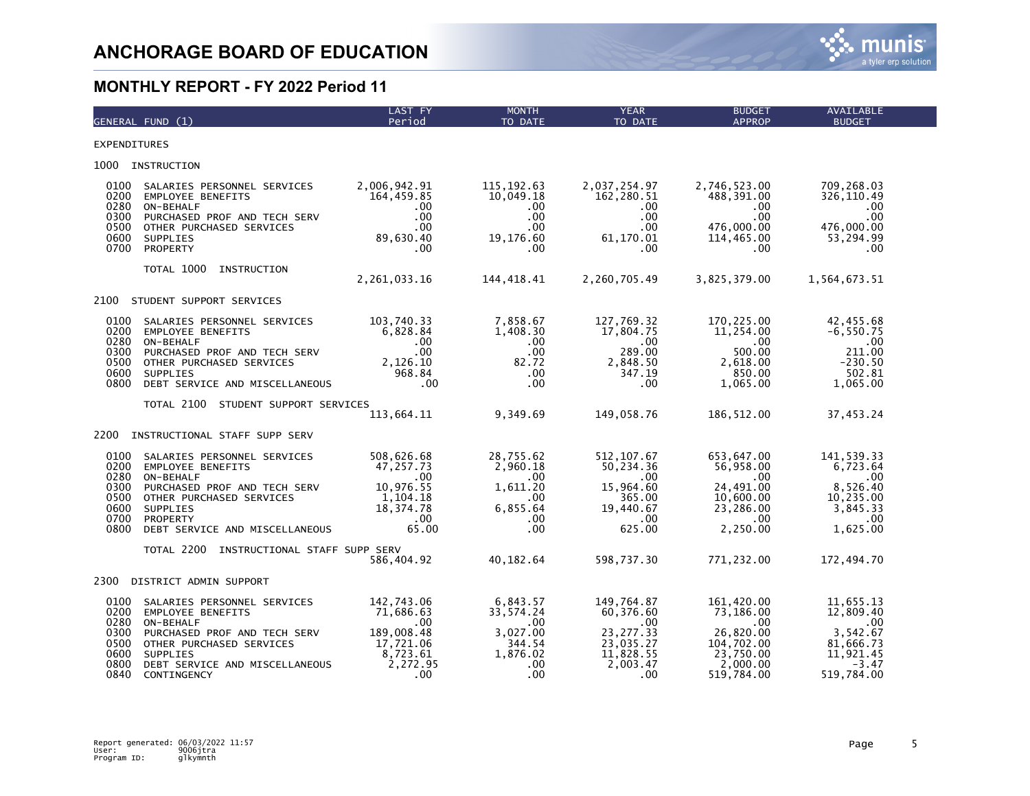

|                                                              | GENERAL FUND (1)                                                                                                                                                                              | LAST FY<br>Period                                                                             | <b>MONTH</b><br>TO DATE                                                              | <b>YEAR</b><br>TO DATE                                                                         | <b>BUDGET</b><br><b>APPROP</b>                                                                   | <b>AVAILABLE</b><br><b>BUDGET</b>                                                            |
|--------------------------------------------------------------|-----------------------------------------------------------------------------------------------------------------------------------------------------------------------------------------------|-----------------------------------------------------------------------------------------------|--------------------------------------------------------------------------------------|------------------------------------------------------------------------------------------------|--------------------------------------------------------------------------------------------------|----------------------------------------------------------------------------------------------|
| <b>EXPENDITURES</b>                                          |                                                                                                                                                                                               |                                                                                               |                                                                                      |                                                                                                |                                                                                                  |                                                                                              |
| 1000                                                         | INSTRUCTION                                                                                                                                                                                   |                                                                                               |                                                                                      |                                                                                                |                                                                                                  |                                                                                              |
| 0100<br>0200<br>0280<br>0300<br>0500<br>0600<br>0700         | SALARIES PERSONNEL SERVICES<br><b>EMPLOYEE BENEFITS</b><br>ON-BEHALF<br>PURCHASED PROF AND TECH SERV<br>OTHER PURCHASED SERVICES<br>SUPPLIES<br>PROPERTY                                      | 2,006,942.91<br>164,459.85<br>$.00 \,$<br>$.00 \,$<br>.00<br>89,630.40<br>.00                 | 115, 192.63<br>10,049.18<br>.00.<br>.00<br>$.00 \,$<br>19,176.60<br>.00              | 2,037,254.97<br>162,280.51<br>$.00 \,$<br>$.00 \,$<br>.00<br>61,170.01<br>$.00 \,$             | 2,746,523.00<br>488,391.00<br>$.00 \,$<br>.00.<br>476,000.00<br>114,465.00<br>.00                | 709,268.03<br>326,110.49<br>.00<br>.00.<br>476,000.00<br>53,294.99<br>$.00 \,$               |
|                                                              | TOTAL 1000<br>INSTRUCTION                                                                                                                                                                     | 2,261,033.16                                                                                  | 144,418.41                                                                           | 2,260,705.49                                                                                   | 3,825,379.00                                                                                     | 1,564,673.51                                                                                 |
| 2100                                                         | STUDENT SUPPORT SERVICES                                                                                                                                                                      |                                                                                               |                                                                                      |                                                                                                |                                                                                                  |                                                                                              |
| 0100<br>0200<br>0280<br>0300<br>0500<br>0600<br>0800         | SALARIES PERSONNEL SERVICES<br><b>EMPLOYEE BENEFITS</b><br>ON-BEHALF<br>PURCHASED PROF AND TECH SERV<br>OTHER PURCHASED SERVICES<br><b>SUPPLIES</b><br>DEBT SERVICE AND MISCELLANEOUS         | 103,740.33<br>6,828.84<br>$.00 \,$<br>$.00 \,$<br>2,126.10<br>968.84<br>.00                   | 7,858.67<br>1,408.30<br>$.00 \,$<br>$.00 \,$<br>82.72<br>.00<br>$.00 \,$             | 127,769.32<br>17,804.75<br>$.00 \,$<br>289.00<br>2,848.50<br>347.19<br>.00                     | 170,225.00<br>11,254.00<br>$.00 \,$<br>500.00<br>2,618.00<br>850.00<br>1,065.00                  | 42,455.68<br>$-6, 550.75$<br>.00.<br>211.00<br>$-230.50$<br>502.81<br>1,065.00               |
|                                                              | TOTAL 2100 STUDENT SUPPORT SERVICES                                                                                                                                                           | 113,664.11                                                                                    | 9,349.69                                                                             | 149,058.76                                                                                     | 186,512.00                                                                                       | 37,453.24                                                                                    |
| 2200                                                         | INSTRUCTIONAL STAFF SUPP SERV                                                                                                                                                                 |                                                                                               |                                                                                      |                                                                                                |                                                                                                  |                                                                                              |
| 0100<br>0200<br>0280<br>0300<br>0500<br>0600<br>0700<br>0800 | SALARIES PERSONNEL SERVICES<br><b>EMPLOYEE BENEFITS</b><br>ON-BEHALF<br>PURCHASED PROF AND TECH SERV<br>OTHER PURCHASED SERVICES<br>SUPPLIES<br>PROPERTY<br>DEBT SERVICE AND MISCELLANEOUS    | 508,626.68<br>47,257.73<br>.00.<br>10,976.55<br>1,104.18<br>18, 374. 78<br>$.00 \,$<br>65.00  | 28,755.62<br>2,960.18<br>.00.<br>1,611.20<br>$.00 \,$<br>6,855.64<br>.00<br>$.00 \,$ | 512,107.67<br>50,234.36<br>$.00 \,$<br>15,964.60<br>365.00<br>19,440.67<br>$.00 \,$<br>625.00  | 653,647.00<br>56,958.00<br>.00<br>24,491.00<br>10,600.00<br>23,286.00<br>$.00 \,$<br>2,250.00    | 141,539.33<br>6,723.64<br>.00<br>8,526.40<br>10,235.00<br>3,845.33<br>.00.<br>1,625.00       |
|                                                              | TOTAL 2200 INSTRUCTIONAL STAFF SUPP SERV                                                                                                                                                      | 586,404.92                                                                                    | 40,182.64                                                                            | 598,737.30                                                                                     | 771,232.00                                                                                       | 172,494.70                                                                                   |
| 2300                                                         | DISTRICT ADMIN SUPPORT                                                                                                                                                                        |                                                                                               |                                                                                      |                                                                                                |                                                                                                  |                                                                                              |
| 0100<br>0200<br>0280<br>0300<br>0500<br>0600<br>0800<br>0840 | SALARIES PERSONNEL SERVICES<br><b>EMPLOYEE BENEFITS</b><br>ON-BEHALF<br>PURCHASED PROF AND TECH SERV<br>OTHER PURCHASED SERVICES<br>SUPPLIES<br>DEBT SERVICE AND MISCELLANEOUS<br>CONTINGENCY | 142,743.06<br>71,686.63<br>$.00 \,$<br>189,008.48<br>17,721.06<br>8,723.61<br>2,272.95<br>.00 | 6,843.57<br>33, 574. 24<br>.00<br>3,027.00<br>344.54<br>1,876.02<br>$.00 \,$<br>.00  | 149,764.87<br>60,376.60<br>$.00 \,$<br>23, 277.33<br>23,035.27<br>11,828.55<br>2,003.47<br>.00 | 161,420.00<br>73,186.00<br>.00<br>26,820.00<br>104,702.00<br>23,750.00<br>2,000.00<br>519,784.00 | 11,655.13<br>12,809.40<br>.00<br>3,542.67<br>81,666.73<br>11,921.45<br>$-3.47$<br>519,784.00 |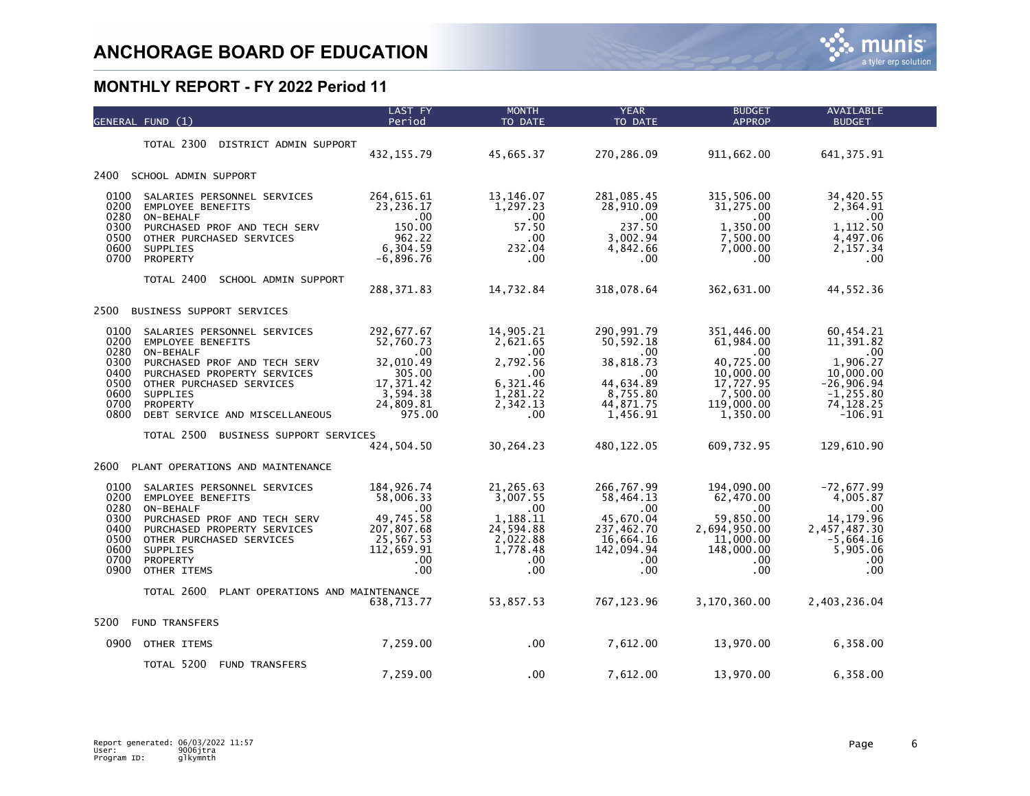|                                                                      | GENERAL FUND (1)                                                                                                                                                                                                                 | LAST FY<br>Period                                                                                      | <b>MONTH</b><br>TO DATE                                                                               | <b>YEAR</b><br>TO DATE                                                                                          | <b>BUDGET</b><br><b>APPROP</b>                                                                               | <b>AVAILABLE</b><br><b>BUDGET</b>                                                                                  |  |
|----------------------------------------------------------------------|----------------------------------------------------------------------------------------------------------------------------------------------------------------------------------------------------------------------------------|--------------------------------------------------------------------------------------------------------|-------------------------------------------------------------------------------------------------------|-----------------------------------------------------------------------------------------------------------------|--------------------------------------------------------------------------------------------------------------|--------------------------------------------------------------------------------------------------------------------|--|
|                                                                      | TOTAL 2300<br>DISTRICT ADMIN SUPPORT                                                                                                                                                                                             | 432, 155.79                                                                                            | 45,665.37                                                                                             | 270,286.09                                                                                                      | 911,662.00                                                                                                   | 641, 375.91                                                                                                        |  |
| 2400                                                                 | SCHOOL ADMIN SUPPORT                                                                                                                                                                                                             |                                                                                                        |                                                                                                       |                                                                                                                 |                                                                                                              |                                                                                                                    |  |
| 0100<br>0200<br>0280<br>0300<br>0500<br>0600<br>0700                 | SALARIES PERSONNEL SERVICES<br><b>EMPLOYEE BENEFITS</b><br>ON-BEHALF<br>PURCHASED PROF AND TECH SERV<br>OTHER PURCHASED SERVICES<br><b>SUPPLIES</b><br>PROPERTY                                                                  | 264, 615.61<br>23,236.17<br>.00<br>150.00<br>962.22<br>6,304.59<br>$-6,896.76$                         | 13,146.07<br>1,297.23<br>$.00 \,$<br>57.50<br>.00<br>232.04<br>.00                                    | 281,085.45<br>28,910.09<br>$.00 \,$<br>237.50<br>3,002.94<br>4,842.66<br>.00                                    | 315,506.00<br>31,275.00<br>.00.<br>1,350.00<br>7,500.00<br>7,000.00<br>.00.                                  | 34,420.55<br>2,364.91<br>.00<br>1,112.50<br>4,497.06<br>2,157.34<br>.00.                                           |  |
|                                                                      | TOTAL 2400<br>SCHOOL ADMIN SUPPORT                                                                                                                                                                                               | 288, 371.83                                                                                            | 14,732.84                                                                                             | 318,078.64                                                                                                      | 362,631.00                                                                                                   | 44,552.36                                                                                                          |  |
| 2500                                                                 | BUSINESS SUPPORT SERVICES                                                                                                                                                                                                        |                                                                                                        |                                                                                                       |                                                                                                                 |                                                                                                              |                                                                                                                    |  |
| 0100<br>0200<br>0280<br>0300<br>0400<br>0500<br>0600<br>0700<br>0800 | SALARIES PERSONNEL SERVICES<br><b>EMPLOYEE BENEFITS</b><br>ON-BEHALF<br>PURCHASED PROF AND TECH SERV<br>PURCHASED PROPERTY SERVICES<br>OTHER PURCHASED SERVICES<br><b>SUPPLIES</b><br>PROPERTY<br>DEBT SERVICE AND MISCELLANEOUS | 292,677.67<br>52,760.73<br>.00<br>32,010.49<br>305.00<br>17, 371.42<br>3,594.38<br>24,809.81<br>975.00 | 14,905.21<br>2,621.65<br>.00.<br>2,792.56<br>$.00 \,$<br>6,321.46<br>1,281.22<br>2,342.13<br>.00      | 290, 991.79<br>50,592.18<br>$.00 \,$<br>38,818.73<br>$.00 \,$<br>44,634.89<br>8,755.80<br>44,871.75<br>1,456.91 | 351,446.00<br>61,984.00<br>.00.<br>40,725.00<br>10,000.00<br>17,727.95<br>7,500.00<br>119,000.00<br>1,350.00 | 60,454.21<br>11,391.82<br>.00.<br>1,906.27<br>10,000.00<br>$-26,906.94$<br>$-1, 255.80$<br>74, 128.25<br>$-106.91$ |  |
|                                                                      | TOTAL 2500<br>BUSINESS SUPPORT SERVICES                                                                                                                                                                                          | 424,504.50                                                                                             | 30,264.23                                                                                             | 480, 122.05                                                                                                     | 609,732.95                                                                                                   | 129,610.90                                                                                                         |  |
| 2600                                                                 | PLANT OPERATIONS AND MAINTENANCE                                                                                                                                                                                                 |                                                                                                        |                                                                                                       |                                                                                                                 |                                                                                                              |                                                                                                                    |  |
| 0100<br>0200<br>0280<br>0300<br>0400<br>0500<br>0600<br>0700<br>0900 | SALARIES PERSONNEL SERVICES<br><b>EMPLOYEE BENEFITS</b><br>ON-BEHALF<br>PURCHASED PROF AND TECH SERV<br>PURCHASED PROPERTY SERVICES<br>OTHER PURCHASED SERVICES<br>SUPPLIES<br>PROPERTY<br>OTHER ITEMS                           | 184, 926.74<br>58,006.33<br>.00<br>49,745.58<br>207,807.68<br>25,567.53<br>112,659.91<br>.00<br>.00    | 21,265.63<br>3,007.55<br>$.00 \,$<br>1,188.11<br>24,594.88<br>2,022.88<br>1,778.48<br>.00<br>$.00 \,$ | 266,767.99<br>58,464.13<br>$.00 \,$<br>45,670.04<br>237,462.70<br>16,664.16<br>142,094.94<br>.00<br>.00         | 194,090.00<br>62,470.00<br>.00.<br>59,850.00<br>2,694,950.00<br>11,000.00<br>148,000.00<br>.00.<br>.00       | $-72,677.99$<br>4,005.87<br>.00.<br>14, 179.96<br>2,457,487.30<br>$-5,664.16$<br>5,905.06<br>.00.<br>.00           |  |
|                                                                      | TOTAL 2600<br>PLANT OPERATIONS AND MAINTENANCE                                                                                                                                                                                   | 638,713.77                                                                                             | 53,857.53                                                                                             | 767, 123.96                                                                                                     | 3,170,360.00                                                                                                 | 2,403,236.04                                                                                                       |  |
| 5200                                                                 | <b>FUND TRANSFERS</b>                                                                                                                                                                                                            |                                                                                                        |                                                                                                       |                                                                                                                 |                                                                                                              |                                                                                                                    |  |
| 0900                                                                 | OTHER ITEMS                                                                                                                                                                                                                      | 7,259.00                                                                                               | $.00 \times$                                                                                          | 7,612.00                                                                                                        | 13,970.00                                                                                                    | 6,358.00                                                                                                           |  |
|                                                                      | TOTAL 5200<br><b>FUND TRANSFERS</b>                                                                                                                                                                                              | 7,259.00                                                                                               | .00                                                                                                   | 7,612.00                                                                                                        | 13,970.00                                                                                                    | 6,358.00                                                                                                           |  |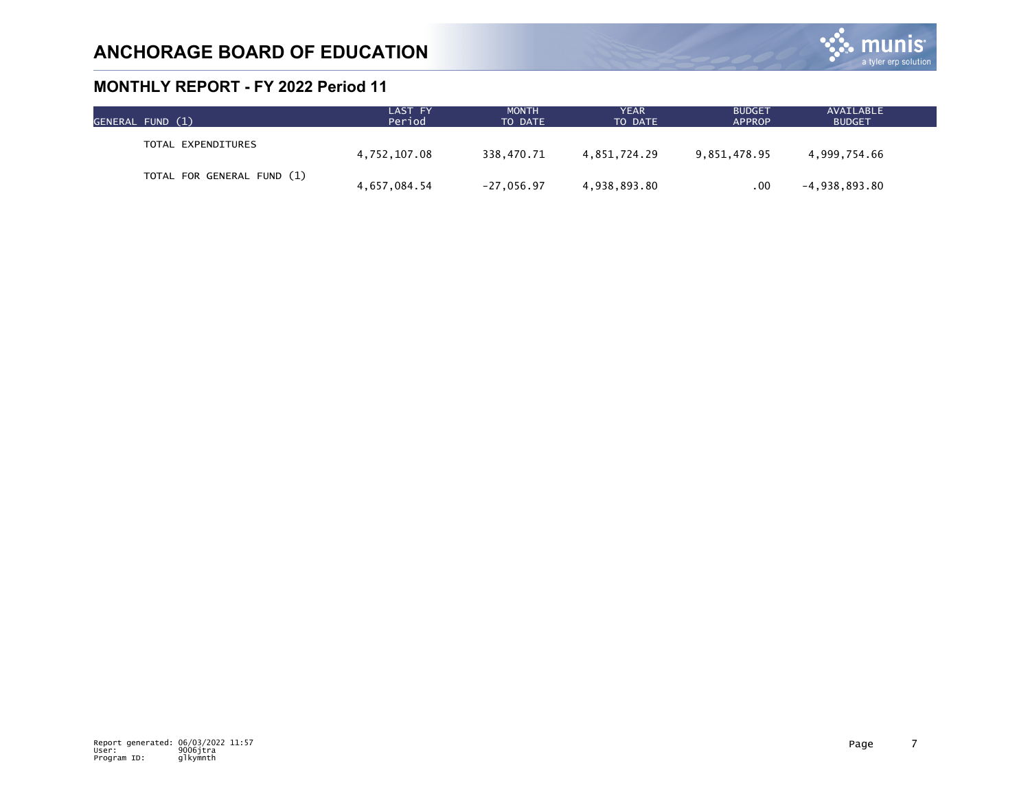

| GENERAL FUND (1)           | LAST FY<br>Period | <b>MONTH</b><br>TO DATE | YEAR<br>TO DATE | <b>BUDGET</b><br><b>APPROP</b> | AVAILABLE<br><b>BUDGET</b> |  |
|----------------------------|-------------------|-------------------------|-----------------|--------------------------------|----------------------------|--|
| TOTAL EXPENDITURES         | 4,752,107.08      | 338.470.71              | 4.851.724.29    | 9,851,478.95                   | 4,999,754.66               |  |
| TOTAL FOR GENERAL FUND (1) | 4,657,084.54      | $-27,056.97$            | 4,938,893.80    | .00                            | $-4,938,893.80$            |  |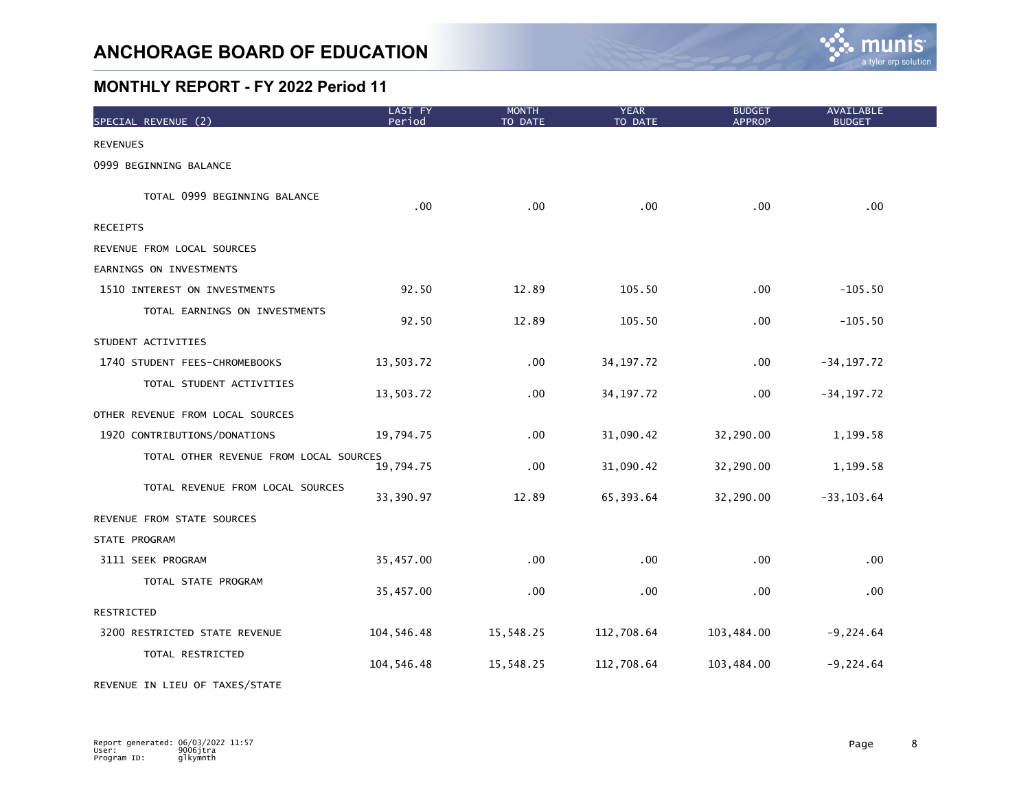

| SPECIAL REVENUE (2)                    | LAST FY<br>Period | <b>MONTH</b><br>TO DATE | <b>YEAR</b><br>TO DATE | <b>BUDGET</b><br><b>APPROP</b> | AVAILABLE<br><b>BUDGET</b> |  |
|----------------------------------------|-------------------|-------------------------|------------------------|--------------------------------|----------------------------|--|
| <b>REVENUES</b>                        |                   |                         |                        |                                |                            |  |
| 0999 BEGINNING BALANCE                 |                   |                         |                        |                                |                            |  |
| TOTAL 0999 BEGINNING BALANCE           | .00 <sub>1</sub>  | .00                     | .00                    | .00                            | .00                        |  |
| <b>RECEIPTS</b>                        |                   |                         |                        |                                |                            |  |
| REVENUE FROM LOCAL SOURCES             |                   |                         |                        |                                |                            |  |
| EARNINGS ON INVESTMENTS                |                   |                         |                        |                                |                            |  |
| 1510 INTEREST ON INVESTMENTS           | 92.50             | 12.89                   | 105.50                 | .00                            | $-105.50$                  |  |
| TOTAL EARNINGS ON INVESTMENTS          | 92.50             | 12.89                   | 105.50                 | .00                            | $-105.50$                  |  |
| STUDENT ACTIVITIES                     |                   |                         |                        |                                |                            |  |
| 1740 STUDENT FEES-CHROMEBOOKS          | 13,503.72         | .00                     | 34, 197. 72            | .00                            | $-34, 197.72$              |  |
| TOTAL STUDENT ACTIVITIES               | 13,503.72         | .00                     | 34, 197. 72            | .00                            | $-34, 197.72$              |  |
| OTHER REVENUE FROM LOCAL SOURCES       |                   |                         |                        |                                |                            |  |
| 1920 CONTRIBUTIONS/DONATIONS           | 19,794.75         | .00                     | 31,090.42              | 32,290.00                      | 1,199.58                   |  |
| TOTAL OTHER REVENUE FROM LOCAL SOURCES | 19,794.75         | .00                     | 31,090.42              | 32,290.00                      | 1,199.58                   |  |
| TOTAL REVENUE FROM LOCAL SOURCES       | 33,390.97         | 12.89                   | 65,393.64              | 32,290.00                      | $-33, 103.64$              |  |
| REVENUE FROM STATE SOURCES             |                   |                         |                        |                                |                            |  |
| STATE PROGRAM                          |                   |                         |                        |                                |                            |  |
| 3111 SEEK PROGRAM                      | 35,457.00         | .00                     | .00                    | .00                            | .00                        |  |
| TOTAL STATE PROGRAM                    | 35,457.00         | .00                     | .00                    | .00                            | .00                        |  |
| RESTRICTED                             |                   |                         |                        |                                |                            |  |
| 3200 RESTRICTED STATE REVENUE          | 104,546.48        | 15,548.25               | 112,708.64             | 103,484.00                     | $-9,224.64$                |  |
| TOTAL RESTRICTED                       | 104,546.48        | 15,548.25               | 112,708.64             | 103,484.00                     | $-9,224.64$                |  |

REVENUE IN LIEU OF TAXES/STATE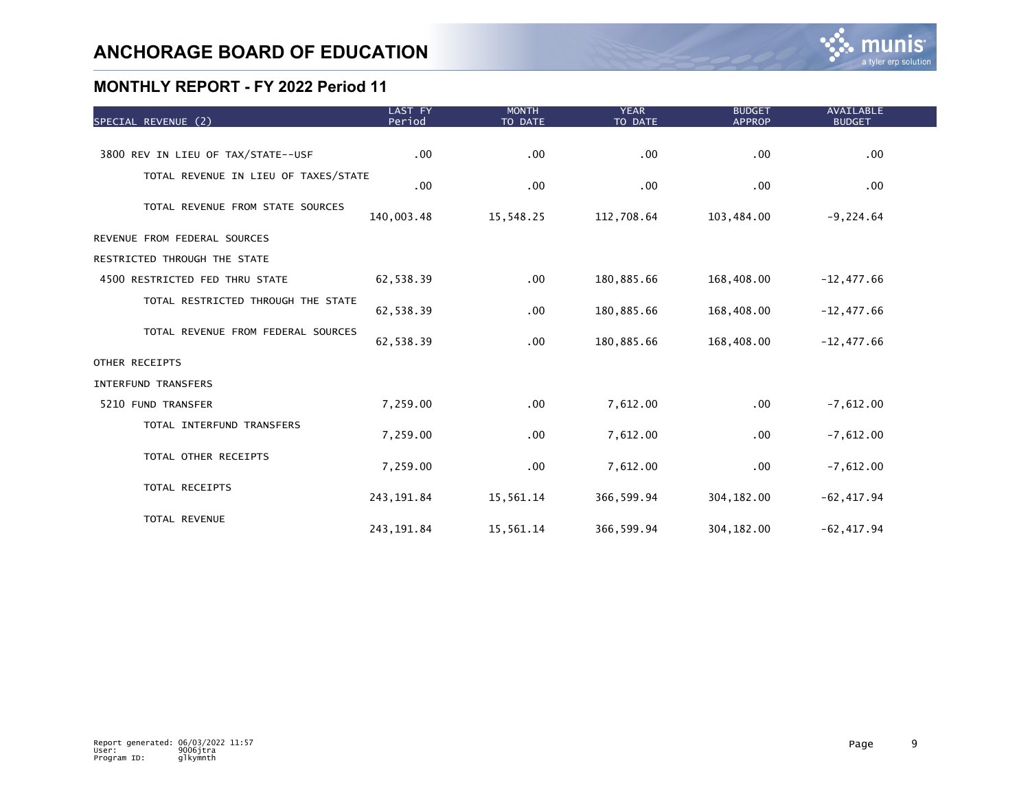| SPECIAL REVENUE (2)                  | LAST FY<br>Period | <b>MONTH</b><br>TO DATE | <b>YEAR</b><br>TO DATE | <b>BUDGET</b><br><b>APPROP</b> | <b>AVAILABLE</b><br><b>BUDGET</b> |  |
|--------------------------------------|-------------------|-------------------------|------------------------|--------------------------------|-----------------------------------|--|
|                                      |                   |                         |                        |                                |                                   |  |
| 3800 REV IN LIEU OF TAX/STATE--USF   | .00               | .00                     | .00                    | $.00 \,$                       | $.00 \,$                          |  |
| TOTAL REVENUE IN LIEU OF TAXES/STATE | .00               | .00                     | .00                    | $.00 \,$                       | $.00 \,$                          |  |
| TOTAL REVENUE FROM STATE SOURCES     | 140,003.48        | 15,548.25               | 112,708.64             | 103,484.00                     | $-9,224.64$                       |  |
| REVENUE FROM FEDERAL SOURCES         |                   |                         |                        |                                |                                   |  |
| RESTRICTED THROUGH THE STATE         |                   |                         |                        |                                |                                   |  |
| 4500 RESTRICTED FED THRU STATE       | 62,538.39         | .00                     | 180,885.66             | 168,408.00                     | $-12,477.66$                      |  |
| TOTAL RESTRICTED THROUGH THE STATE   | 62,538.39         | .00                     | 180,885.66             | 168,408.00                     | $-12,477.66$                      |  |
| TOTAL REVENUE FROM FEDERAL SOURCES   | 62,538.39         | .00                     | 180,885.66             | 168,408.00                     | $-12,477.66$                      |  |
| OTHER RECEIPTS                       |                   |                         |                        |                                |                                   |  |
| INTERFUND TRANSFERS                  |                   |                         |                        |                                |                                   |  |
| 5210 FUND TRANSFER                   | 7,259.00          | .00                     | 7,612.00               | .00                            | $-7,612.00$                       |  |
| TOTAL INTERFUND TRANSFERS            | 7,259.00          | .00                     | 7,612.00               | $.00 \,$                       | $-7,612.00$                       |  |
| TOTAL OTHER RECEIPTS                 | 7,259.00          | .00                     | 7,612.00               | $.00 \,$                       | $-7,612.00$                       |  |
| TOTAL RECEIPTS                       | 243, 191.84       | 15,561.14               | 366, 599.94            | 304, 182.00                    | $-62, 417.94$                     |  |
| TOTAL REVENUE                        | 243, 191.84       | 15,561.14               | 366, 599.94            | 304, 182.00                    | $-62, 417.94$                     |  |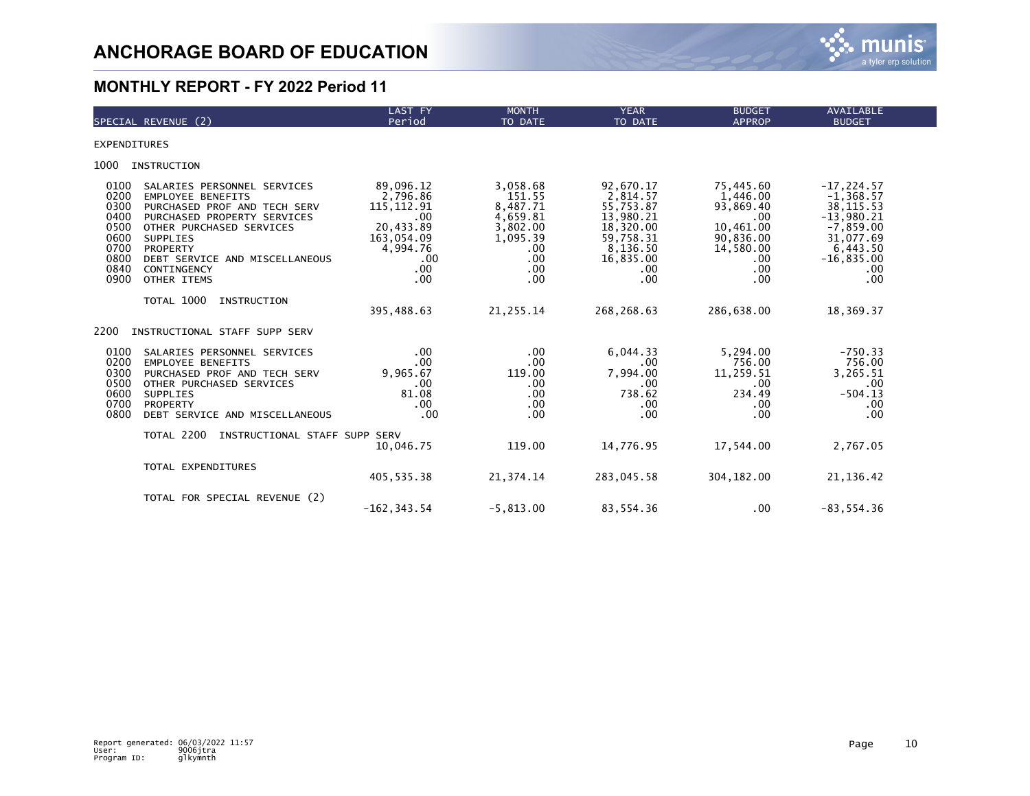

|                                                                              | SPECIAL REVENUE (2)                                                                                                                                                                                                                        | LAST FY<br>Period                                                                                            | <b>MONTH</b><br>TO DATE                                                                         | <b>YEAR</b><br>TO DATE                                                                                                | <b>BUDGET</b><br><b>APPROP</b>                                                                                       | <b>AVAILABLE</b><br><b>BUDGET</b>                                                                                                      |
|------------------------------------------------------------------------------|--------------------------------------------------------------------------------------------------------------------------------------------------------------------------------------------------------------------------------------------|--------------------------------------------------------------------------------------------------------------|-------------------------------------------------------------------------------------------------|-----------------------------------------------------------------------------------------------------------------------|----------------------------------------------------------------------------------------------------------------------|----------------------------------------------------------------------------------------------------------------------------------------|
| <b>EXPENDITURES</b>                                                          |                                                                                                                                                                                                                                            |                                                                                                              |                                                                                                 |                                                                                                                       |                                                                                                                      |                                                                                                                                        |
| 1000                                                                         | <b>INSTRUCTION</b>                                                                                                                                                                                                                         |                                                                                                              |                                                                                                 |                                                                                                                       |                                                                                                                      |                                                                                                                                        |
| 0100<br>0200<br>0300<br>0400<br>0500<br>0600<br>0700<br>0800<br>0840<br>0900 | SALARIES PERSONNEL SERVICES<br><b>EMPLOYEE BENEFITS</b><br>PURCHASED PROF AND TECH SERV<br>PURCHASED PROPERTY SERVICES<br>OTHER PURCHASED SERVICES<br>SUPPLIES<br>PROPERTY<br>DEBT SERVICE AND MISCELLANEOUS<br>CONTINGENCY<br>OTHER ITEMS | 89,096.12<br>2,796.86<br>115, 112.91<br>.00<br>20,433.89<br>163,054.09<br>4.994.76<br>.00<br>$.00 \,$<br>.00 | 3,058.68<br>151.55<br>8,487.71<br>4,659.81<br>3,802.00<br>1,095.39<br>.00.<br>.00<br>.00<br>.00 | 92,670.17<br>2,814.57<br>55,753.87<br>13,980.21<br>18,320.00<br>59,758.31<br>8,136.50<br>16,835.00<br>$.00 \,$<br>.00 | 75,445.60<br>1,446.00<br>93,869.40<br>$.00 \,$<br>10,461.00<br>90,836.00<br>14,580.00<br>$.00 \,$<br>$.00 \,$<br>.00 | $-17, 224.57$<br>$-1, 368.57$<br>38, 115.53<br>$-13,980.21$<br>$-7,859.00$<br>31,077.69<br>6,443.50<br>$-16,835.00$<br>$.00 \,$<br>.00 |
|                                                                              | TOTAL 1000<br>INSTRUCTION                                                                                                                                                                                                                  | 395,488.63                                                                                                   | 21, 255.14                                                                                      | 268,268.63                                                                                                            | 286,638.00                                                                                                           | 18,369.37                                                                                                                              |
| 2200                                                                         | INSTRUCTIONAL STAFF SUPP SERV                                                                                                                                                                                                              |                                                                                                              |                                                                                                 |                                                                                                                       |                                                                                                                      |                                                                                                                                        |
| 0100<br>0200<br>0300<br>0500<br>0600<br>0700<br>0800                         | SALARIES PERSONNEL SERVICES<br><b>EMPLOYEE BENEFITS</b><br>PURCHASED PROF AND TECH SERV<br>OTHER PURCHASED SERVICES<br><b>SUPPLIES</b><br>PROPERTY<br>DEBT SERVICE AND MISCELLANEOUS                                                       | .00<br>.00<br>9.965.67<br>.00<br>81.08<br>$.00 \,$<br>.00                                                    | $.00 \times$<br>.00<br>119.00<br>.00.<br>$.00 \times$<br>.00.<br>$.00 \times$                   | 6.044.33<br>.00<br>7,994.00<br>.00<br>738.62<br>.00<br>.00                                                            | 5,294.00<br>756.00<br>11,259.51<br>.00<br>234.49<br>.00<br>.00                                                       | $-750.33$<br>756.00<br>3,265.51<br>.00<br>$-504.13$<br>.00<br>.00                                                                      |
|                                                                              | TOTAL 2200<br>INSTRUCTIONAL STAFF SUPP SERV                                                                                                                                                                                                | 10,046.75                                                                                                    | 119.00                                                                                          | 14,776.95                                                                                                             | 17,544.00                                                                                                            | 2,767.05                                                                                                                               |
|                                                                              | TOTAL EXPENDITURES                                                                                                                                                                                                                         | 405,535.38                                                                                                   | 21,374.14                                                                                       | 283,045.58                                                                                                            | 304, 182.00                                                                                                          | 21, 136.42                                                                                                                             |
|                                                                              | TOTAL FOR SPECIAL REVENUE (2)                                                                                                                                                                                                              | $-162, 343.54$                                                                                               | $-5,813.00$                                                                                     | 83,554.36                                                                                                             | .00                                                                                                                  | $-83, 554.36$                                                                                                                          |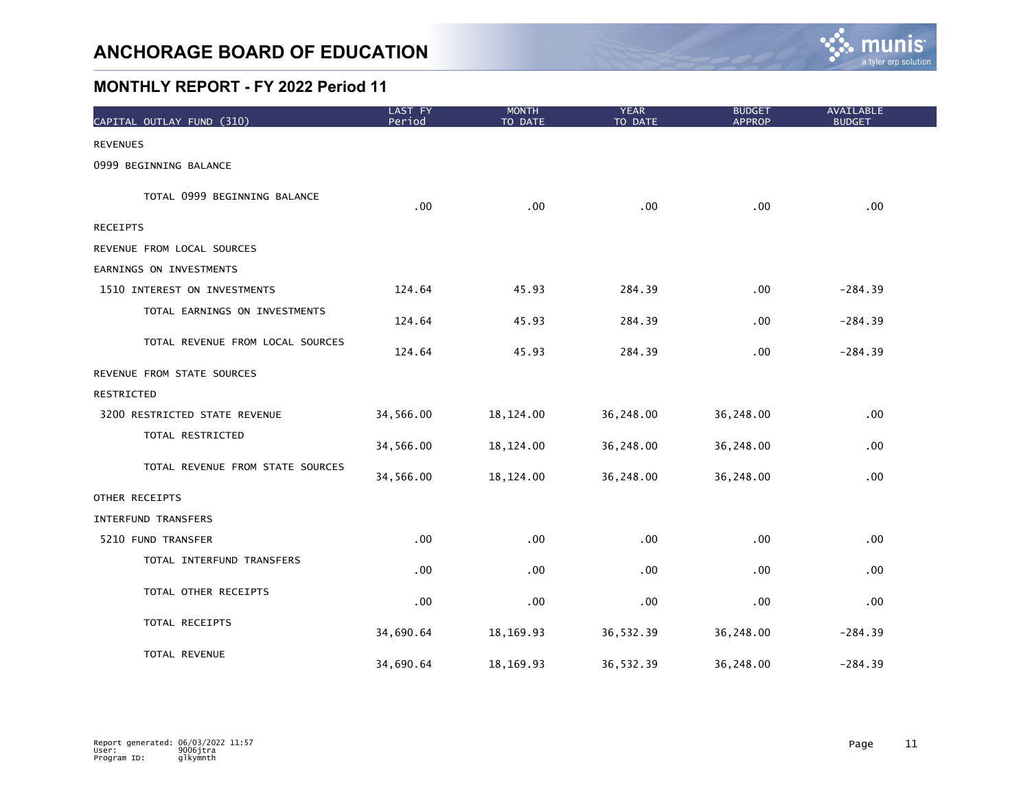

| CAPITAL OUTLAY FUND (310)        | LAST FY<br>Period | <b>MONTH</b><br>TO DATE | <b>YEAR</b><br>TO DATE | <b>BUDGET</b><br><b>APPROP</b> | AVAILABLE<br><b>BUDGET</b> |
|----------------------------------|-------------------|-------------------------|------------------------|--------------------------------|----------------------------|
| <b>REVENUES</b>                  |                   |                         |                        |                                |                            |
| 0999 BEGINNING BALANCE           |                   |                         |                        |                                |                            |
| TOTAL 0999 BEGINNING BALANCE     | .00 <sub>1</sub>  | .00                     | .00                    | .00                            | .00                        |
| <b>RECEIPTS</b>                  |                   |                         |                        |                                |                            |
| REVENUE FROM LOCAL SOURCES       |                   |                         |                        |                                |                            |
| EARNINGS ON INVESTMENTS          |                   |                         |                        |                                |                            |
| 1510 INTEREST ON INVESTMENTS     | 124.64            | 45.93                   | 284.39                 | .00                            | $-284.39$                  |
| TOTAL EARNINGS ON INVESTMENTS    | 124.64            | 45.93                   | 284.39                 | .00.                           | $-284.39$                  |
| TOTAL REVENUE FROM LOCAL SOURCES | 124.64            | 45.93                   | 284.39                 | .00                            | $-284.39$                  |
| REVENUE FROM STATE SOURCES       |                   |                         |                        |                                |                            |
| RESTRICTED                       |                   |                         |                        |                                |                            |
| 3200 RESTRICTED STATE REVENUE    | 34,566.00         | 18,124.00               | 36,248.00              | 36,248.00                      | .00                        |
| TOTAL RESTRICTED                 | 34,566.00         | 18, 124.00              | 36,248.00              | 36,248.00                      | $.00 \,$                   |
| TOTAL REVENUE FROM STATE SOURCES | 34,566.00         | 18, 124.00              | 36,248.00              | 36,248.00                      | $.00 \,$                   |
| OTHER RECEIPTS                   |                   |                         |                        |                                |                            |
| <b>INTERFUND TRANSFERS</b>       |                   |                         |                        |                                |                            |
| 5210 FUND TRANSFER               | .00 <sub>1</sub>  | .00                     | .00                    | .00                            | .00                        |
| TOTAL INTERFUND TRANSFERS        | .00 <sub>1</sub>  | .00                     | .00                    | .00                            | .00                        |
| TOTAL OTHER RECEIPTS             | .00               | .00                     | .00                    | .00                            | .00 <sub>1</sub>           |
| TOTAL RECEIPTS                   | 34,690.64         | 18, 169. 93             | 36,532.39              | 36,248.00                      | $-284.39$                  |
| TOTAL REVENUE                    | 34,690.64         | 18, 169. 93             | 36,532.39              | 36,248.00                      | $-284.39$                  |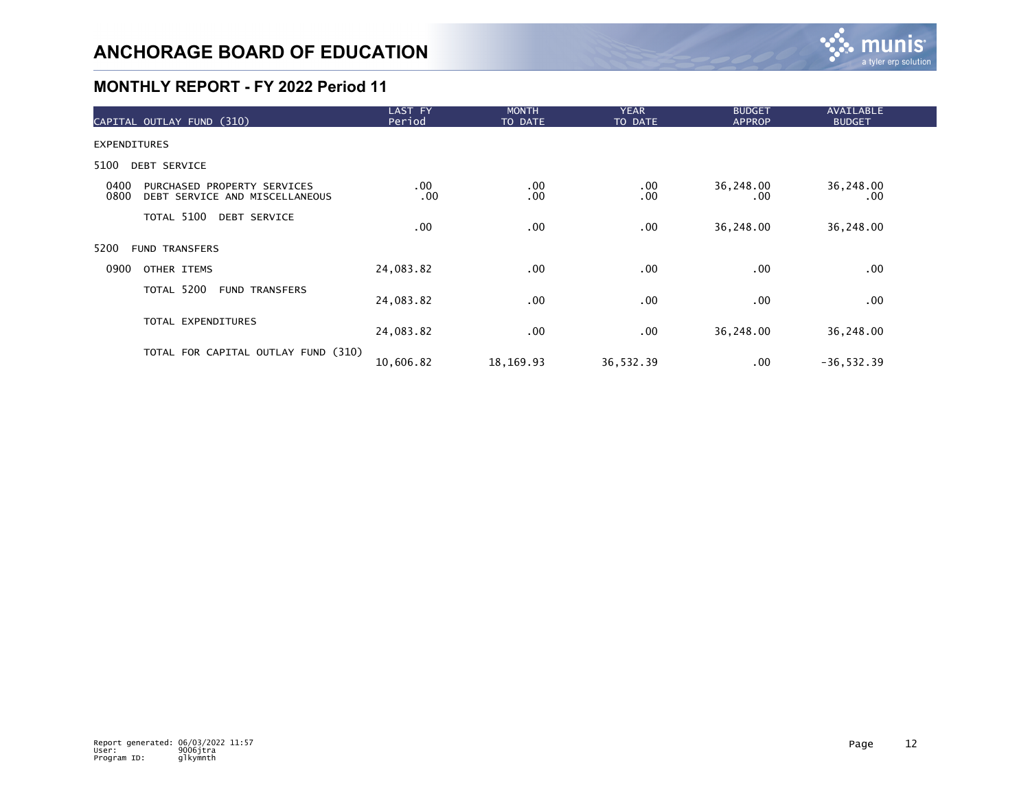

| CAPITAL OUTLAY FUND (310)                                                     | LAST FY<br>Period | <b>MONTH</b><br>TO DATE | <b>YEAR</b><br>TO DATE | <b>BUDGET</b><br><b>APPROP</b> | <b>AVAILABLE</b><br><b>BUDGET</b> |  |
|-------------------------------------------------------------------------------|-------------------|-------------------------|------------------------|--------------------------------|-----------------------------------|--|
| <b>EXPENDITURES</b>                                                           |                   |                         |                        |                                |                                   |  |
| 5100<br>DEBT SERVICE                                                          |                   |                         |                        |                                |                                   |  |
| 0400<br>PURCHASED PROPERTY SERVICES<br>0800<br>DEBT SERVICE AND MISCELLANEOUS | $.00 \,$<br>.00   | .00<br>.00              | $.00 \,$<br>.00        | 36,248.00<br>.00               | 36,248.00<br>.00.                 |  |
| TOTAL 5100<br><b>DEBT SERVICE</b>                                             | .00               | .00                     | .00                    | 36,248.00                      | 36,248.00                         |  |
| 5200<br><b>FUND TRANSFERS</b>                                                 |                   |                         |                        |                                |                                   |  |
| 0900<br>OTHER ITEMS                                                           | 24,083.82         | .00                     | .00                    | .00                            | $.00 \,$                          |  |
| TOTAL 5200<br><b>FUND TRANSFERS</b>                                           | 24,083.82         | .00                     | $.00 \,$               | .00.                           | $.00 \,$                          |  |
| TOTAL EXPENDITURES                                                            | 24,083.82         | .00.                    | $.00 \,$               | 36,248.00                      | 36,248.00                         |  |
| TOTAL FOR CAPITAL OUTLAY FUND (310)                                           | 10,606.82         | 18,169.93               | 36,532.39              | $.00 \,$                       | $-36, 532.39$                     |  |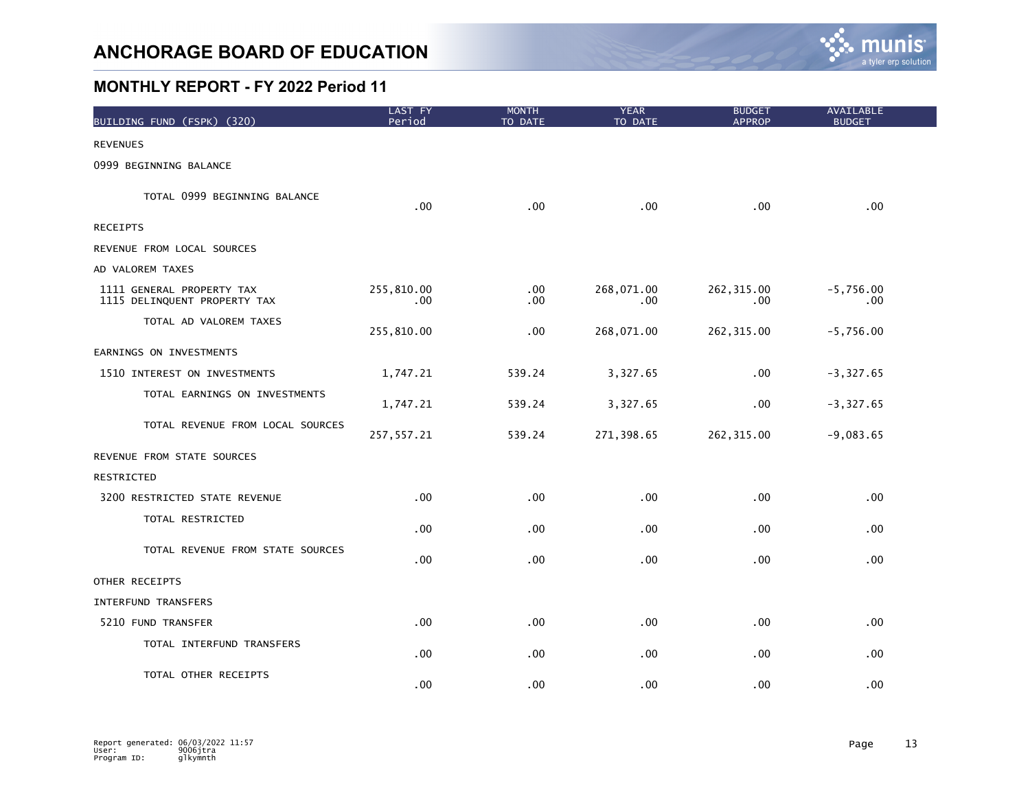

| BUILDING FUND (FSPK) (320)                                | LAST FY<br>Period | <b>MONTH</b><br>TO DATE | <b>YEAR</b><br>TO DATE | <b>BUDGET</b><br><b>APPROP</b> | AVAILABLE<br><b>BUDGET</b> |
|-----------------------------------------------------------|-------------------|-------------------------|------------------------|--------------------------------|----------------------------|
| <b>REVENUES</b>                                           |                   |                         |                        |                                |                            |
| 0999 BEGINNING BALANCE                                    |                   |                         |                        |                                |                            |
| TOTAL 0999 BEGINNING BALANCE                              | .00               | .00                     | .00                    | .00                            | .00                        |
| <b>RECEIPTS</b>                                           |                   |                         |                        |                                |                            |
| REVENUE FROM LOCAL SOURCES                                |                   |                         |                        |                                |                            |
| AD VALOREM TAXES                                          |                   |                         |                        |                                |                            |
| 1111 GENERAL PROPERTY TAX<br>1115 DELINQUENT PROPERTY TAX | 255,810.00<br>.00 | .00<br>.00              | 268,071.00<br>.00      | 262, 315.00<br>.00             | $-5,756.00$<br>.00         |
| TOTAL AD VALOREM TAXES                                    | 255,810.00        | .00                     | 268,071.00             | 262, 315.00                    | $-5,756.00$                |
| EARNINGS ON INVESTMENTS                                   |                   |                         |                        |                                |                            |
| 1510 INTEREST ON INVESTMENTS                              | 1,747.21          | 539.24                  | 3,327.65               | .00                            | $-3,327.65$                |
| TOTAL EARNINGS ON INVESTMENTS                             | 1,747.21          | 539.24                  | 3,327.65               | .00                            | $-3,327.65$                |
| TOTAL REVENUE FROM LOCAL SOURCES                          | 257, 557.21       | 539.24                  | 271,398.65             | 262, 315.00                    | $-9,083.65$                |
| REVENUE FROM STATE SOURCES                                |                   |                         |                        |                                |                            |
| RESTRICTED                                                |                   |                         |                        |                                |                            |
| 3200 RESTRICTED STATE REVENUE                             | .00               | .00                     | $.00 \,$               | .00                            | .00                        |
| TOTAL RESTRICTED                                          | .00               | .00                     | .00                    | .00                            | .00                        |
| TOTAL REVENUE FROM STATE SOURCES                          | .00               | .00                     | .00                    | .00                            | $.00 \,$                   |
| OTHER RECEIPTS                                            |                   |                         |                        |                                |                            |
| INTERFUND TRANSFERS                                       |                   |                         |                        |                                |                            |
| 5210 FUND TRANSFER                                        | .00               | .00                     | $.00 \,$               | .00                            | .00                        |
| TOTAL INTERFUND TRANSFERS                                 | .00               | .00                     | $.00 \,$               | .00                            | .00                        |
| TOTAL OTHER RECEIPTS                                      | .00               | .00                     | .00                    | .00.                           | .00 <sub>1</sub>           |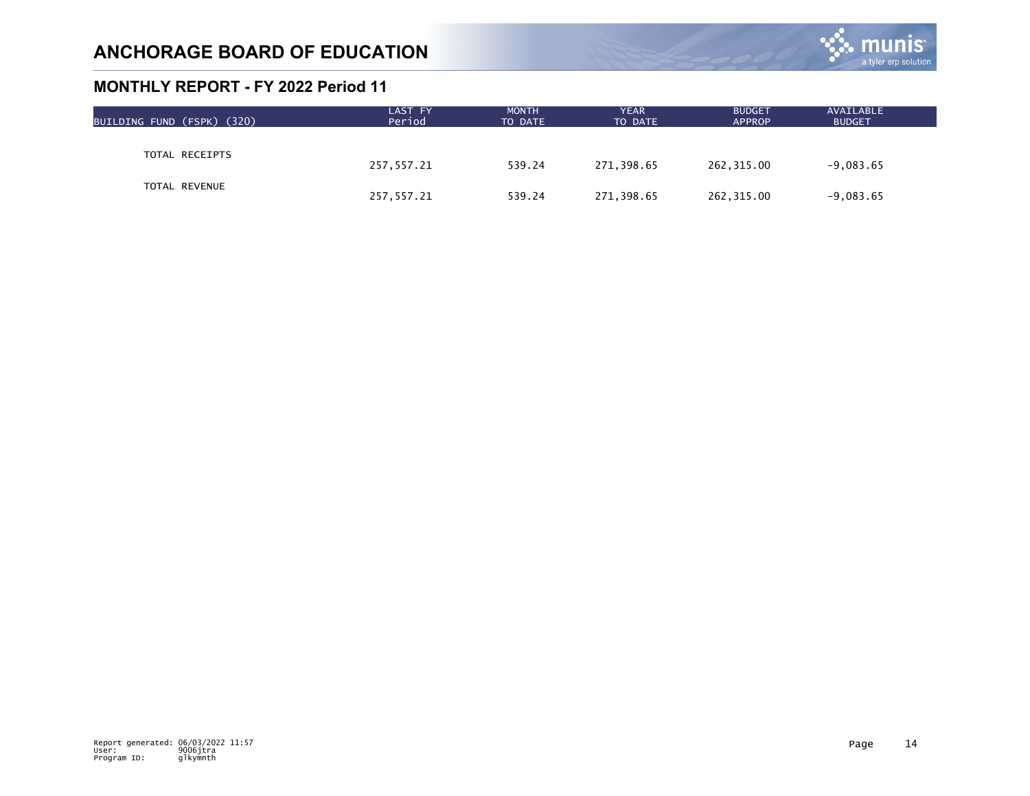

| BUILDING FUND (FSPK) (320) | LAST FY<br>Period | <b>MONTH</b><br>TO DATE | <b>YEAR</b><br>TO DATE | <b>BUDGET</b><br><b>APPROP</b> | AVAILABLE<br><b>BUDGET</b> |  |
|----------------------------|-------------------|-------------------------|------------------------|--------------------------------|----------------------------|--|
|                            |                   |                         |                        |                                |                            |  |
| TOTAL RECEIPTS             | 257,557.21        | 539.24                  | 271,398.65             | 262,315.00                     | $-9,083.65$                |  |
| <b>TOTAL REVENUE</b>       | 257,557.21        | 539.24                  | 271,398.65             | 262,315.00                     | $-9,083.65$                |  |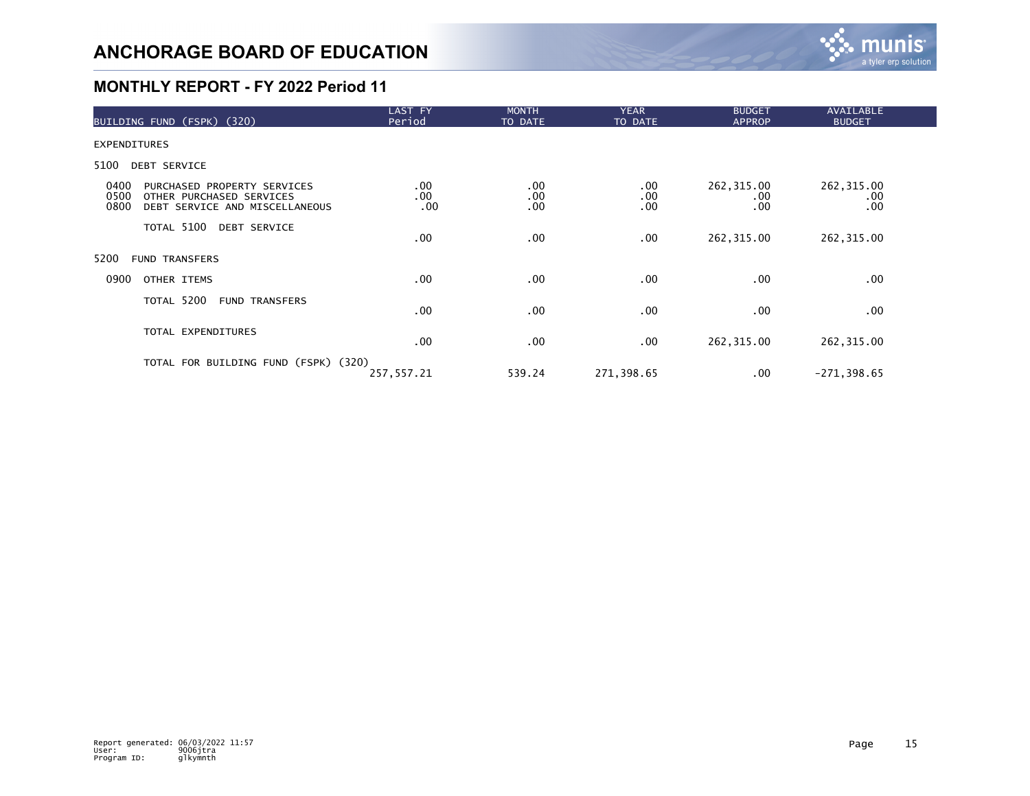

| BUILDING FUND (FSPK) (320)                                                                                        | LAST FY<br>Period      | <b>MONTH</b><br>TO DATE | <b>YEAR</b><br>TO DATE | <b>BUDGET</b><br><b>APPROP</b> | AVAILABLE<br><b>BUDGET</b> |  |
|-------------------------------------------------------------------------------------------------------------------|------------------------|-------------------------|------------------------|--------------------------------|----------------------------|--|
| <b>EXPENDITURES</b>                                                                                               |                        |                         |                        |                                |                            |  |
| 5100<br>DEBT SERVICE                                                                                              |                        |                         |                        |                                |                            |  |
| 0400<br>PURCHASED PROPERTY SERVICES<br>0500<br>OTHER PURCHASED SERVICES<br>0800<br>DEBT SERVICE AND MISCELLANEOUS | $.00 \,$<br>.00<br>.00 | $.00 \,$<br>.00<br>.00  | .00<br>.00<br>.00      | 262,315.00<br>.00<br>.00       | 262, 315.00<br>.00<br>.00  |  |
| TOTAL 5100 DEBT SERVICE                                                                                           | .00                    | $.00 \,$                | .00                    | 262,315.00                     | 262, 315.00                |  |
| 5200<br><b>FUND TRANSFERS</b>                                                                                     |                        |                         |                        |                                |                            |  |
| 0900<br>OTHER ITEMS                                                                                               | $.00 \,$               | $.00 \,$                | .00                    | .00.                           | .00                        |  |
| TOTAL 5200<br><b>FUND TRANSFERS</b>                                                                               | .00                    | $.00 \,$                | .00                    | .00                            | .00                        |  |
| TOTAL EXPENDITURES                                                                                                | .00                    | $.00 \,$                | .00                    | 262,315.00                     | 262, 315.00                |  |
| TOTAL FOR BUILDING FUND (FSPK) (320)                                                                              | 257, 557.21            | 539.24                  | 271,398.65             | .00.                           | $-271, 398.65$             |  |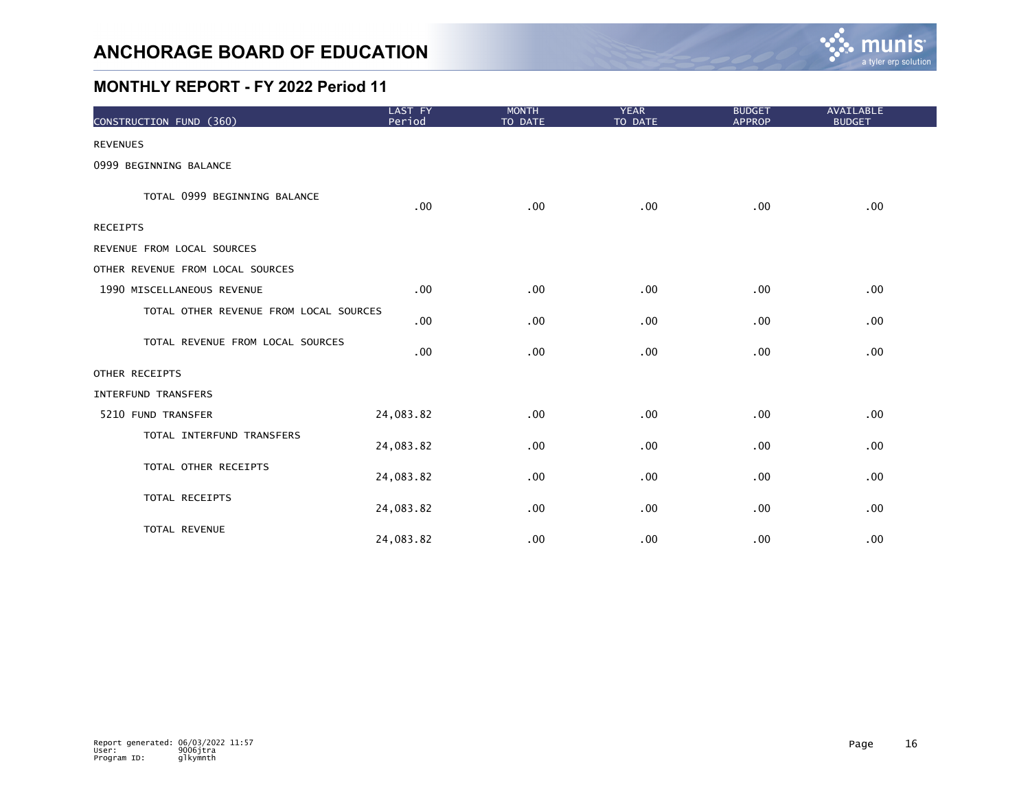

| CONSTRUCTION FUND (360)                | LAST FY<br>Period | <b>MONTH</b><br>TO DATE | <b>YEAR</b><br>TO DATE | <b>BUDGET</b><br><b>APPROP</b> | AVAILABLE<br><b>BUDGET</b> |
|----------------------------------------|-------------------|-------------------------|------------------------|--------------------------------|----------------------------|
| <b>REVENUES</b>                        |                   |                         |                        |                                |                            |
| 0999 BEGINNING BALANCE                 |                   |                         |                        |                                |                            |
| TOTAL 0999 BEGINNING BALANCE           | .00               | .00                     | .00                    | .00.                           | .00                        |
| <b>RECEIPTS</b>                        |                   |                         |                        |                                |                            |
| REVENUE FROM LOCAL SOURCES             |                   |                         |                        |                                |                            |
| OTHER REVENUE FROM LOCAL SOURCES       |                   |                         |                        |                                |                            |
| 1990 MISCELLANEOUS REVENUE             | .00               | .00                     | .00                    | .00                            | .00                        |
| TOTAL OTHER REVENUE FROM LOCAL SOURCES | .00               | .00                     | .00                    | .00                            | $.00 \,$                   |
| TOTAL REVENUE FROM LOCAL SOURCES       | .00               | .00                     | .00                    | .00                            | .00                        |
| OTHER RECEIPTS                         |                   |                         |                        |                                |                            |
| INTERFUND TRANSFERS                    |                   |                         |                        |                                |                            |
| 5210 FUND TRANSFER                     | 24,083.82         | .00                     | .00                    | .00                            | .00                        |
| TOTAL INTERFUND TRANSFERS              | 24,083.82         | .00                     | .00                    | .00                            | .00                        |
| TOTAL OTHER RECEIPTS                   | 24,083.82         | .00                     | .00                    | .00                            | .00                        |
| TOTAL RECEIPTS                         | 24,083.82         | .00                     | .00                    | .00                            | $.00 \,$                   |
| TOTAL REVENUE                          | 24,083.82         | .00                     | .00                    | .00                            | .00                        |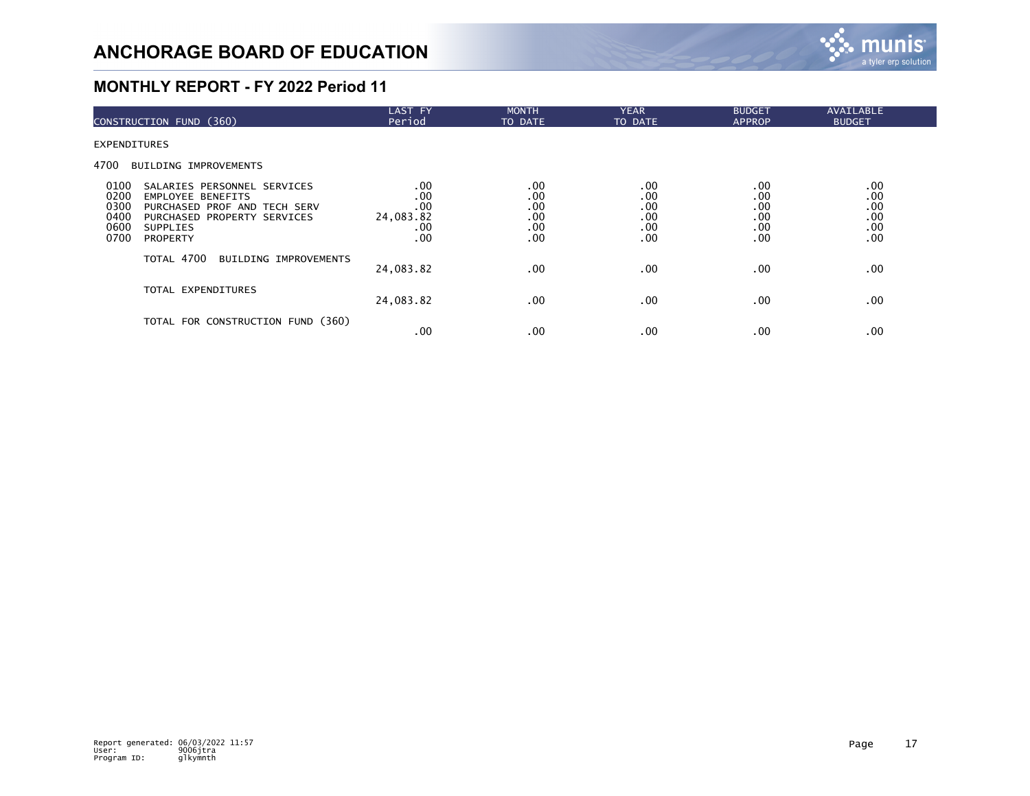

| CONSTRUCTION FUND (360)                                                                                                                                                                                      | LAST FY<br>Period                                 | <b>MONTH</b><br>TO DATE                | <b>YEAR</b><br>TO DATE                 | <b>BUDGET</b><br><b>APPROP</b>         | AVAILABLE<br><b>BUDGET</b>             |  |
|--------------------------------------------------------------------------------------------------------------------------------------------------------------------------------------------------------------|---------------------------------------------------|----------------------------------------|----------------------------------------|----------------------------------------|----------------------------------------|--|
| EXPENDITURES                                                                                                                                                                                                 |                                                   |                                        |                                        |                                        |                                        |  |
| 4700<br><b>BUILDING IMPROVEMENTS</b>                                                                                                                                                                         |                                                   |                                        |                                        |                                        |                                        |  |
| 0100<br>SALARIES PERSONNEL SERVICES<br>0200<br><b>EMPLOYEE BENEFITS</b><br>0300<br>PURCHASED PROF AND TECH SERV<br>0400<br>PURCHASED PROPERTY SERVICES<br>0600<br><b>SUPPLIES</b><br>0700<br><b>PROPERTY</b> | $.00 \,$<br>.00<br>.00<br>24,083.82<br>.00<br>.00 | .00<br>.00<br>.00<br>.00<br>.00<br>.00 | .00<br>.00<br>.00<br>.00<br>.00<br>.00 | .00<br>.00<br>.00<br>.00<br>.00<br>.00 | .00<br>.00<br>.00<br>.00<br>.00<br>.00 |  |
| TOTAL 4700<br>BUILDING IMPROVEMENTS                                                                                                                                                                          | 24,083.82                                         | $.00 \,$                               | .00                                    | .00                                    | .00                                    |  |
| TOTAL EXPENDITURES                                                                                                                                                                                           | 24,083.82                                         | $.00 \,$                               | .00                                    | .00                                    | .00                                    |  |
| TOTAL FOR CONSTRUCTION FUND (360)                                                                                                                                                                            | .00                                               | $.00 \,$                               | .00                                    | .00                                    | .00                                    |  |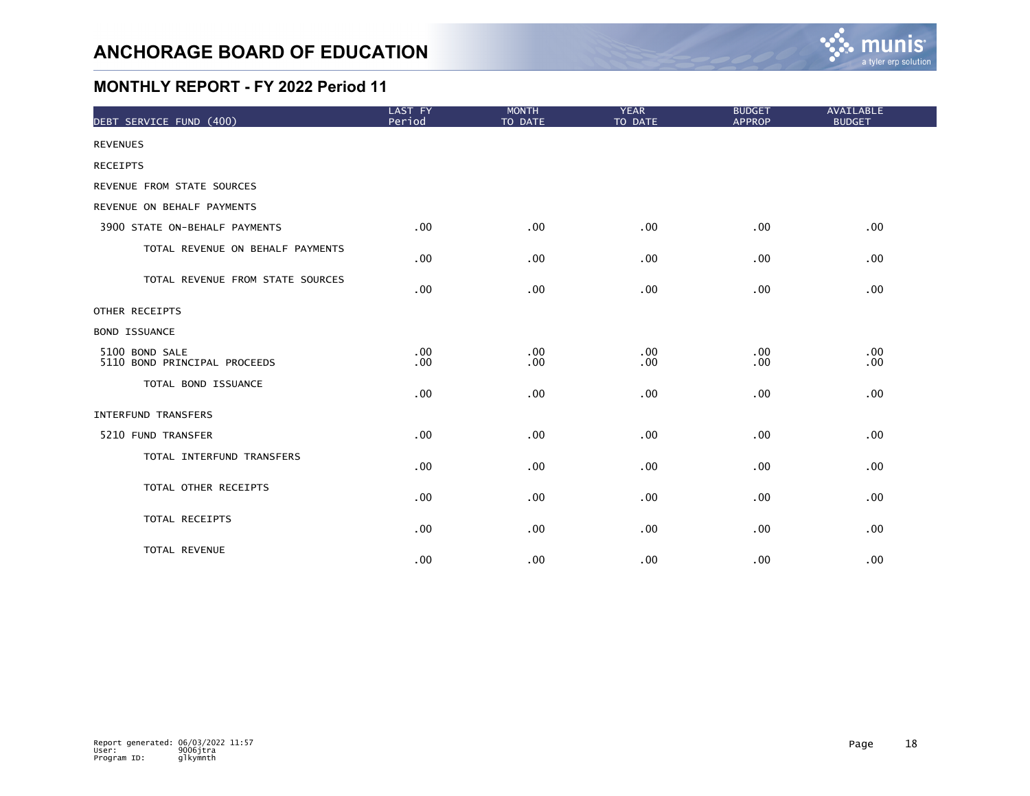

| DEBT SERVICE FUND (400)                        | LAST FY<br>Period | <b>MONTH</b><br>TO DATE | <b>YEAR</b><br>TO DATE | <b>BUDGET</b><br><b>APPROP</b> | <b>AVAILABLE</b><br><b>BUDGET</b> |
|------------------------------------------------|-------------------|-------------------------|------------------------|--------------------------------|-----------------------------------|
| <b>REVENUES</b>                                |                   |                         |                        |                                |                                   |
| <b>RECEIPTS</b>                                |                   |                         |                        |                                |                                   |
| REVENUE FROM STATE SOURCES                     |                   |                         |                        |                                |                                   |
| REVENUE ON BEHALF PAYMENTS                     |                   |                         |                        |                                |                                   |
| 3900 STATE ON-BEHALF PAYMENTS                  | .00               | .00                     | .00                    | .00                            | .00                               |
| TOTAL REVENUE ON BEHALF PAYMENTS               | .00               | .00                     | .00                    | .00                            | .00                               |
| TOTAL REVENUE FROM STATE SOURCES               | .00               | .00                     | .00                    | .00                            | .00                               |
| OTHER RECEIPTS                                 |                   |                         |                        |                                |                                   |
| <b>BOND ISSUANCE</b>                           |                   |                         |                        |                                |                                   |
| 5100 BOND SALE<br>5110 BOND PRINCIPAL PROCEEDS | .00<br>.00        | .00<br>.00              | .00<br>.00             | .00<br>.00                     | .00<br>.00                        |
| TOTAL BOND ISSUANCE                            | .00               | .00                     | .00                    | .00                            | .00                               |
| <b>INTERFUND TRANSFERS</b>                     |                   |                         |                        |                                |                                   |
| 5210 FUND TRANSFER                             | .00 <sub>1</sub>  | .00                     | .00                    | .00                            | .00                               |
| TOTAL INTERFUND TRANSFERS                      | .00               | .00                     | .00                    | .00                            | .00                               |
| TOTAL OTHER RECEIPTS                           | .00               | .00                     | .00                    | .00.                           | .00                               |
| TOTAL RECEIPTS                                 | .00               | .00                     | $.00 \,$               | $.00 \,$                       | .00                               |
| TOTAL REVENUE                                  | .00               | .00                     | .00 <sub>1</sub>       | .00                            | .00                               |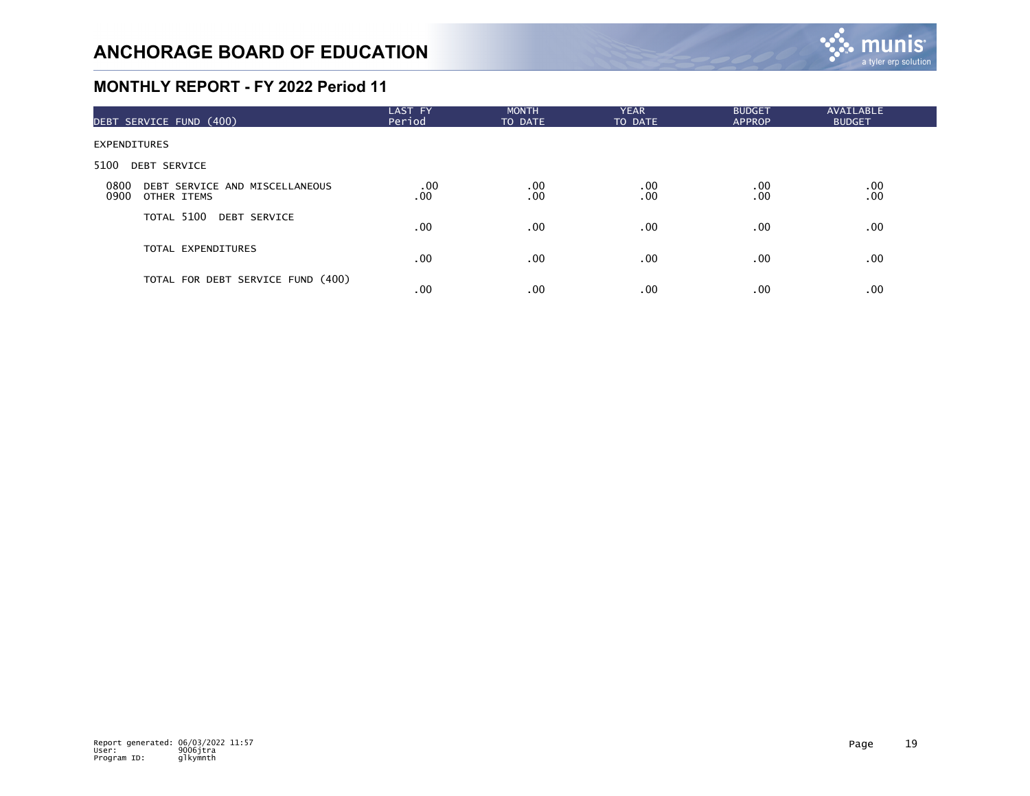

| DEBT SERVICE FUND (400)                                       | LAST FY<br>Period | <b>MONTH</b><br>TO DATE | <b>YEAR</b><br>TO DATE | <b>BUDGET</b><br><b>APPROP</b> | <b>AVAILABLE</b><br><b>BUDGET</b> |  |
|---------------------------------------------------------------|-------------------|-------------------------|------------------------|--------------------------------|-----------------------------------|--|
| <b>EXPENDITURES</b>                                           |                   |                         |                        |                                |                                   |  |
| 5100<br><b>DEBT SERVICE</b>                                   |                   |                         |                        |                                |                                   |  |
| 0800<br>DEBT SERVICE AND MISCELLANEOUS<br>0900<br>OTHER ITEMS | .00<br>.00        | .00<br>.00              | $.00 \,$<br>.00        | .00.<br>.00                    | .00<br>.00                        |  |
| TOTAL 5100 DEBT SERVICE                                       | .00               | $.00 \,$                | $.00 \,$               | .00                            | .00                               |  |
| TOTAL EXPENDITURES                                            | .00               | $.00 \,$                | .00 <sub>1</sub>       | .00                            | .00                               |  |
| TOTAL FOR DEBT SERVICE FUND (400)                             | .00               | .00                     | $.00 \,$               | .00                            | .00                               |  |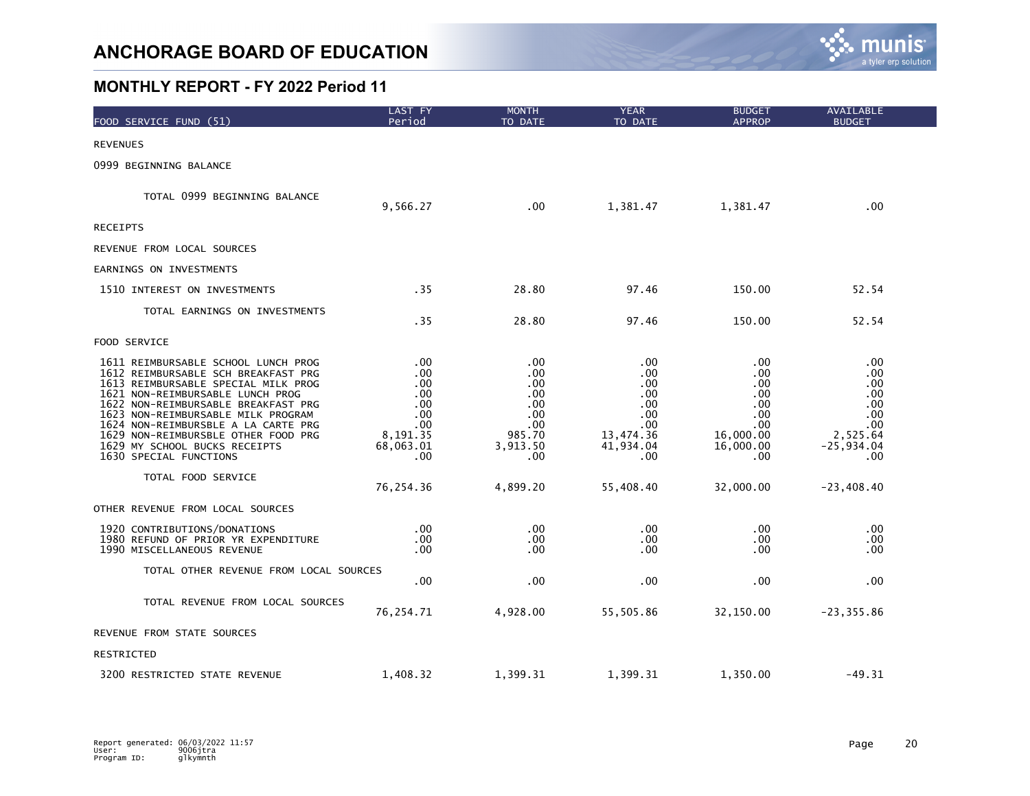

| FOOD SERVICE FUND (51)                                                                                                                                                                                                                                                                                                                                                      | LAST FY<br>Period                                                             | <b>MONTH</b><br>TO DATE                                                                   | <b>YEAR</b><br>TO DATE                                                         | <b>BUDGET</b><br><b>APPROP</b>                                                  | AVAILABLE<br><b>BUDGET</b>                                                         |
|-----------------------------------------------------------------------------------------------------------------------------------------------------------------------------------------------------------------------------------------------------------------------------------------------------------------------------------------------------------------------------|-------------------------------------------------------------------------------|-------------------------------------------------------------------------------------------|--------------------------------------------------------------------------------|---------------------------------------------------------------------------------|------------------------------------------------------------------------------------|
| <b>REVENUES</b>                                                                                                                                                                                                                                                                                                                                                             |                                                                               |                                                                                           |                                                                                |                                                                                 |                                                                                    |
| 0999 BEGINNING BALANCE                                                                                                                                                                                                                                                                                                                                                      |                                                                               |                                                                                           |                                                                                |                                                                                 |                                                                                    |
| TOTAL 0999 BEGINNING BALANCE                                                                                                                                                                                                                                                                                                                                                | 9,566.27                                                                      | .00                                                                                       | 1,381.47                                                                       | 1,381.47                                                                        | .00 <sub>1</sub>                                                                   |
| <b>RECEIPTS</b>                                                                                                                                                                                                                                                                                                                                                             |                                                                               |                                                                                           |                                                                                |                                                                                 |                                                                                    |
| REVENUE FROM LOCAL SOURCES                                                                                                                                                                                                                                                                                                                                                  |                                                                               |                                                                                           |                                                                                |                                                                                 |                                                                                    |
| EARNINGS ON INVESTMENTS                                                                                                                                                                                                                                                                                                                                                     |                                                                               |                                                                                           |                                                                                |                                                                                 |                                                                                    |
| 1510 INTEREST ON INVESTMENTS                                                                                                                                                                                                                                                                                                                                                | .35                                                                           | 28.80                                                                                     | 97.46                                                                          | 150.00                                                                          | 52.54                                                                              |
| TOTAL EARNINGS ON INVESTMENTS                                                                                                                                                                                                                                                                                                                                               | .35                                                                           | 28.80                                                                                     | 97.46                                                                          | 150.00                                                                          | 52.54                                                                              |
| FOOD SERVICE                                                                                                                                                                                                                                                                                                                                                                |                                                                               |                                                                                           |                                                                                |                                                                                 |                                                                                    |
| 1611 REIMBURSABLE SCHOOL LUNCH PROG<br>1612 REIMBURSABLE SCH BREAKFAST PRG<br>1613 REIMBURSABLE SPECIAL MILK PROG<br>1621 NON-REIMBURSABLE LUNCH PROG<br>1622 NON-REIMBURSABLE BREAKFAST PRG<br>1623 NON-REIMBURSABLE MILK PROGRAM<br>1624 NON-REIMBURSBLE A LA CARTE PRG<br>1629 NON-REIMBURSBLE OTHER FOOD PRG<br>1629 MY SCHOOL BUCKS RECEIPTS<br>1630 SPECIAL FUNCTIONS | .00<br>.00<br>.00<br>.00<br>.00<br>.00<br>.00<br>8,191.35<br>68,063.01<br>.00 | .00<br>.00<br>.00<br>.00<br>.00.<br>.00<br>$.00 \,$<br>985.70<br>3,913.50<br>$.00 \times$ | .00<br>.00<br>.00<br>.00<br>.00<br>.00<br>.00<br>13,474.36<br>41,934.04<br>.00 | .00<br>.00<br>.00<br>.00<br>.00.<br>.00<br>.00<br>16,000.00<br>16,000.00<br>.00 | .00.<br>.00<br>.00<br>.00<br>.00.<br>.00<br>.00<br>2,525.64<br>$-25,934.04$<br>.00 |
| TOTAL FOOD SERVICE                                                                                                                                                                                                                                                                                                                                                          | 76,254.36                                                                     | 4,899.20                                                                                  | 55,408.40                                                                      | 32,000.00                                                                       | $-23,408.40$                                                                       |
| OTHER REVENUE FROM LOCAL SOURCES                                                                                                                                                                                                                                                                                                                                            |                                                                               |                                                                                           |                                                                                |                                                                                 |                                                                                    |
| 1920 CONTRIBUTIONS/DONATIONS<br>1980 REFUND OF PRIOR YR EXPENDITURE<br>1990 MISCELLANEOUS REVENUE                                                                                                                                                                                                                                                                           | $.00 \,$<br>.00<br>.00                                                        | $.00 \,$<br>$.00 \,$<br>.00.                                                              | .00<br>.00<br>.00                                                              | .00.<br>.00.<br>.00                                                             | .00<br>.00<br>.00.                                                                 |
| TOTAL OTHER REVENUE FROM LOCAL SOURCES                                                                                                                                                                                                                                                                                                                                      | .00                                                                           | .00                                                                                       | .00                                                                            | .00                                                                             | .00                                                                                |
| TOTAL REVENUE FROM LOCAL SOURCES                                                                                                                                                                                                                                                                                                                                            | 76,254.71                                                                     | 4,928.00                                                                                  | 55,505.86                                                                      | 32,150.00                                                                       | $-23, 355.86$                                                                      |
| REVENUE FROM STATE SOURCES                                                                                                                                                                                                                                                                                                                                                  |                                                                               |                                                                                           |                                                                                |                                                                                 |                                                                                    |
| RESTRICTED                                                                                                                                                                                                                                                                                                                                                                  |                                                                               |                                                                                           |                                                                                |                                                                                 |                                                                                    |
| 3200 RESTRICTED STATE REVENUE                                                                                                                                                                                                                                                                                                                                               | 1,408.32                                                                      | 1,399.31                                                                                  | 1,399.31                                                                       | 1,350.00                                                                        | $-49.31$                                                                           |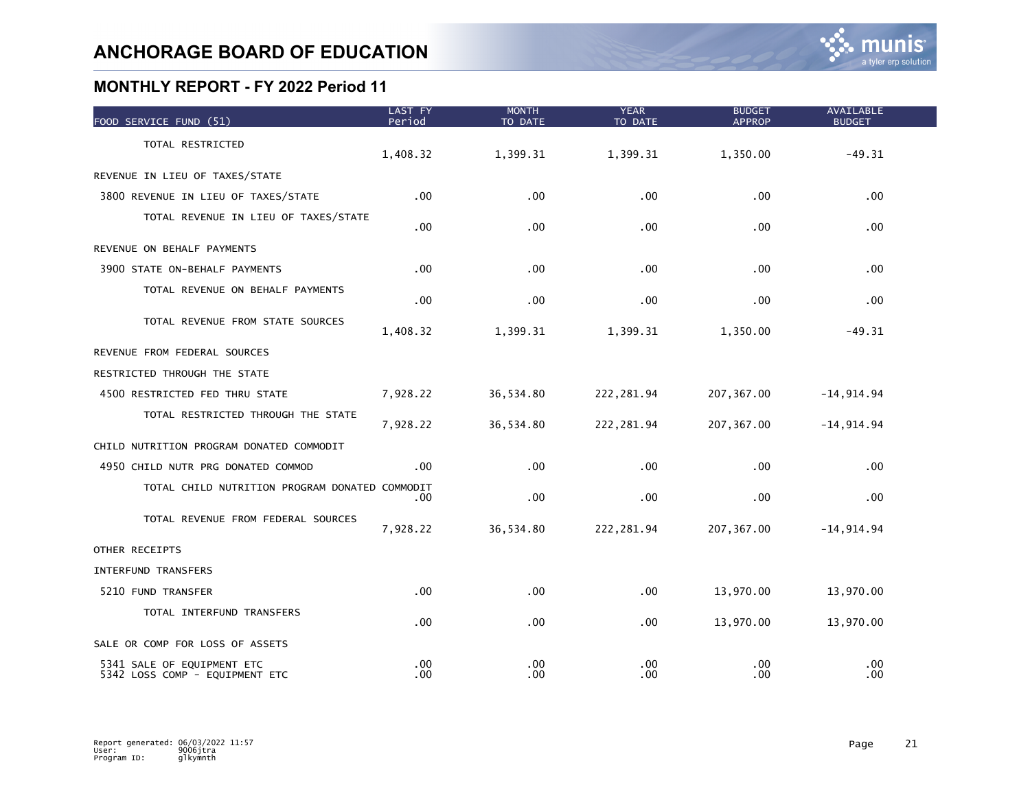| FOOD SERVICE FUND (51)                                       | LAST FY<br>Period | <b>MONTH</b><br>TO DATE | <b>YEAR</b><br>TO DATE | <b>BUDGET</b><br><b>APPROP</b> | <b>AVAILABLE</b><br><b>BUDGET</b> |  |
|--------------------------------------------------------------|-------------------|-------------------------|------------------------|--------------------------------|-----------------------------------|--|
| TOTAL RESTRICTED                                             | 1,408.32          | 1,399.31                | 1,399.31               | 1,350.00                       | $-49.31$                          |  |
| REVENUE IN LIEU OF TAXES/STATE                               |                   |                         |                        |                                |                                   |  |
| 3800 REVENUE IN LIEU OF TAXES/STATE                          | $.00 \,$          | .00                     | .00                    | .00                            | .00                               |  |
| TOTAL REVENUE IN LIEU OF TAXES/STATE                         | .00               | .00                     | .00                    | .00                            | .00                               |  |
| REVENUE ON BEHALF PAYMENTS                                   |                   |                         |                        |                                |                                   |  |
| 3900 STATE ON-BEHALF PAYMENTS                                | $.00 \,$          | .00                     | .00                    | .00                            | .00                               |  |
| TOTAL REVENUE ON BEHALF PAYMENTS                             | .00               | .00                     | .00                    | .00                            | .00                               |  |
| TOTAL REVENUE FROM STATE SOURCES                             | 1,408.32          | 1,399.31                | 1,399.31               | 1,350.00                       | $-49.31$                          |  |
| REVENUE FROM FEDERAL SOURCES                                 |                   |                         |                        |                                |                                   |  |
| RESTRICTED THROUGH THE STATE                                 |                   |                         |                        |                                |                                   |  |
| 4500 RESTRICTED FED THRU STATE                               | 7,928.22          | 36,534.80               | 222, 281.94            | 207, 367.00                    | $-14, 914.94$                     |  |
| TOTAL RESTRICTED THROUGH THE STATE                           | 7,928.22          | 36,534.80               | 222, 281.94            | 207, 367.00                    | $-14, 914.94$                     |  |
| CHILD NUTRITION PROGRAM DONATED COMMODIT                     |                   |                         |                        |                                |                                   |  |
| 4950 CHILD NUTR PRG DONATED COMMOD                           | $.00 \,$          | .00                     | .00                    | .00                            | .00                               |  |
| TOTAL CHILD NUTRITION PROGRAM DONATED COMMODIT               | .00               | .00                     | .00                    | .00                            | .00                               |  |
| TOTAL REVENUE FROM FEDERAL SOURCES                           | 7,928.22          | 36,534.80               | 222, 281.94            | 207, 367.00                    | $-14,914.94$                      |  |
| OTHER RECEIPTS                                               |                   |                         |                        |                                |                                   |  |
| INTERFUND TRANSFERS                                          |                   |                         |                        |                                |                                   |  |
| 5210 FUND TRANSFER                                           | .00               | .00                     | .00                    | 13,970.00                      | 13,970.00                         |  |
| TOTAL INTERFUND TRANSFERS                                    | .00               | .00                     | .00                    | 13,970.00                      | 13,970.00                         |  |
| SALE OR COMP FOR LOSS OF ASSETS                              |                   |                         |                        |                                |                                   |  |
| 5341 SALE OF EQUIPMENT ETC<br>5342 LOSS COMP - EQUIPMENT ETC | .00<br>.00        | .00<br>.00              | .00<br>.00             | .00<br>.00                     | .00<br>.00                        |  |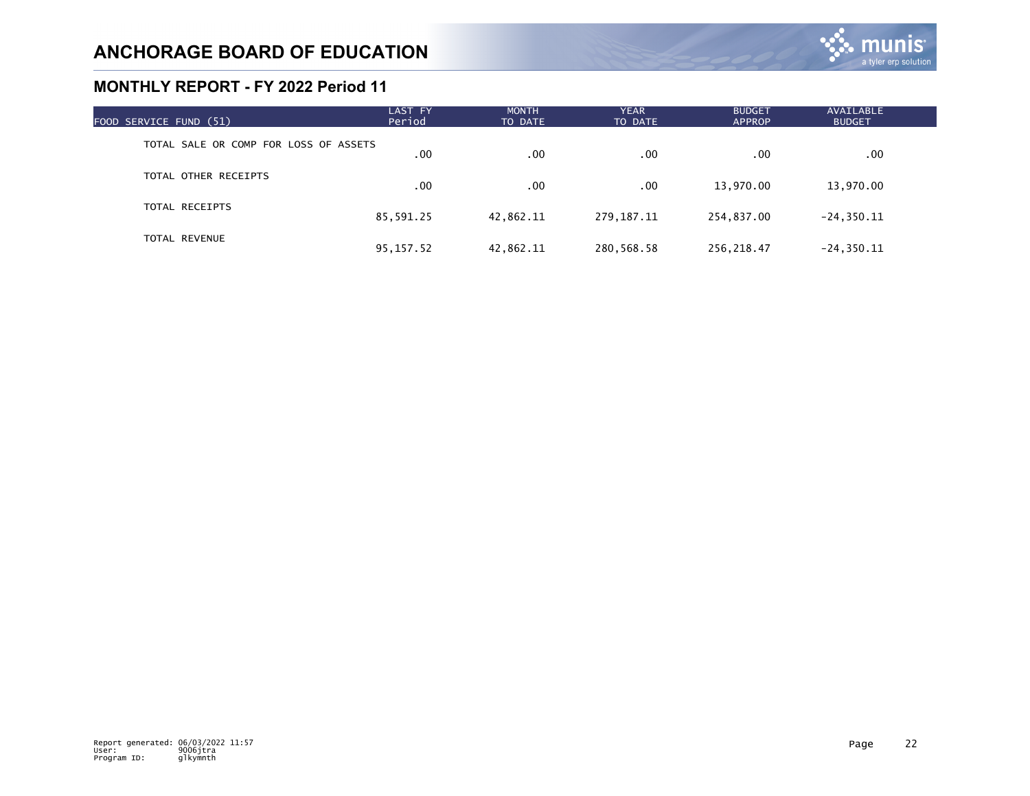| FOOD SERVICE FUND (51)                | LAST FY<br>Period | <b>MONTH</b><br>TO DATE | <b>YEAR</b><br>TO DATE | <b>BUDGET</b><br><b>APPROP</b> | AVAILABLE<br><b>BUDGET</b> |  |
|---------------------------------------|-------------------|-------------------------|------------------------|--------------------------------|----------------------------|--|
| TOTAL SALE OR COMP FOR LOSS OF ASSETS | .00               | .00                     | .00                    | .00                            | $.00 \,$                   |  |
| TOTAL OTHER RECEIPTS                  | .00               | .00                     | .00                    | 13,970.00                      | 13,970.00                  |  |
| TOTAL RECEIPTS                        | 85,591.25         | 42,862.11               | 279,187.11             | 254,837.00                     | $-24, 350.11$              |  |
| <b>TOTAL REVENUE</b>                  | 95, 157.52        | 42,862.11               | 280,568.58             | 256,218.47                     | $-24, 350.11$              |  |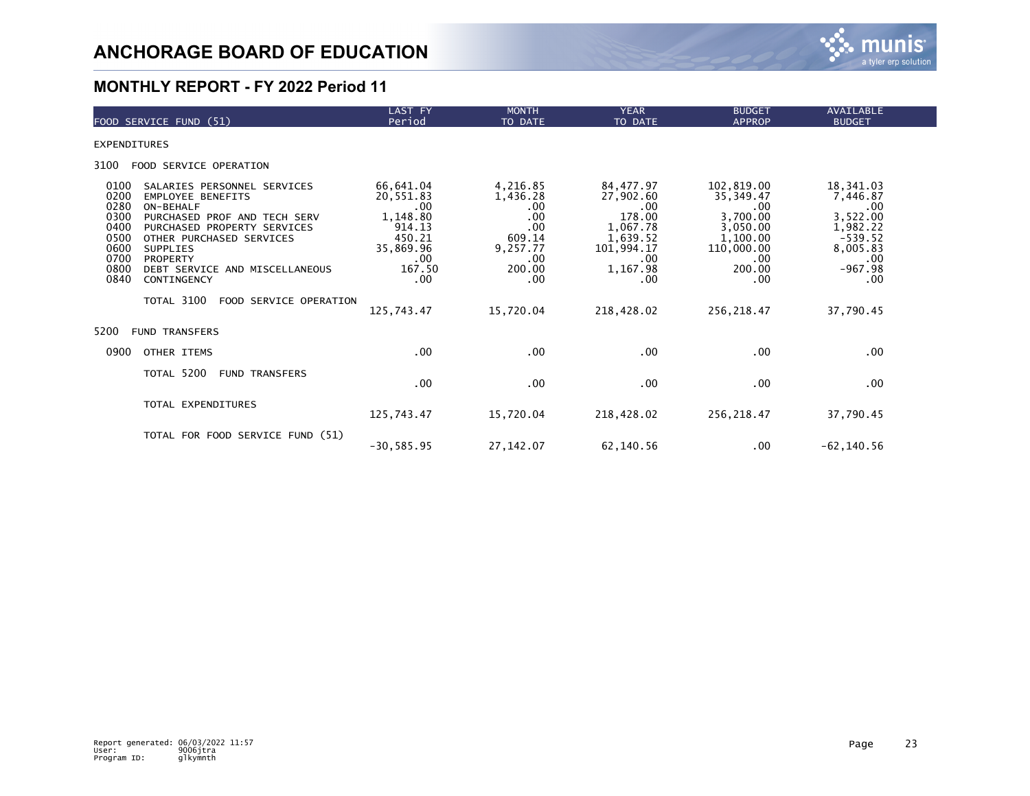

| FOOD SERVICE FUND (51)                                                                                                                                                                                                                                                                                                                                                  | LAST FY<br>Period                                                                                                | <b>MONTH</b><br>TO DATE                                                                              | <b>YEAR</b><br>TO DATE                                                                                                     | <b>BUDGET</b><br><b>APPROP</b>                                                                                           | <b>AVAILABLE</b><br><b>BUDGET</b>                                                                                     |  |
|-------------------------------------------------------------------------------------------------------------------------------------------------------------------------------------------------------------------------------------------------------------------------------------------------------------------------------------------------------------------------|------------------------------------------------------------------------------------------------------------------|------------------------------------------------------------------------------------------------------|----------------------------------------------------------------------------------------------------------------------------|--------------------------------------------------------------------------------------------------------------------------|-----------------------------------------------------------------------------------------------------------------------|--|
| <b>EXPENDITURES</b>                                                                                                                                                                                                                                                                                                                                                     |                                                                                                                  |                                                                                                      |                                                                                                                            |                                                                                                                          |                                                                                                                       |  |
| 3100<br>FOOD SERVICE OPERATION                                                                                                                                                                                                                                                                                                                                          |                                                                                                                  |                                                                                                      |                                                                                                                            |                                                                                                                          |                                                                                                                       |  |
| 0100<br>SALARIES PERSONNEL SERVICES<br>0200<br><b>EMPLOYEE BENEFITS</b><br>0280<br>ON-BEHALF<br>0300<br>PURCHASED PROF AND TECH SERV<br>0400<br>PURCHASED PROPERTY SERVICES<br>0500<br>OTHER PURCHASED SERVICES<br>0600<br><b>SUPPLIES</b><br>0700<br>PROPERTY<br>0800<br>DEBT SERVICE AND MISCELLANEOUS<br>0840<br>CONTINGENCY<br>TOTAL 3100<br>FOOD SERVICE OPERATION | 66,641.04<br>20,551.83<br>.00<br>1,148.80<br>914.13<br>450.21<br>35,869.96<br>.00<br>167.50<br>.00<br>125,743.47 | 4,216.85<br>1,436.28<br>.00<br>.00<br>.00<br>609.14<br>9,257.77<br>.00<br>200.00<br>.00<br>15,720.04 | 84,477.97<br>27,902.60<br>$.00 \,$<br>178.00<br>1,067.78<br>1,639.52<br>101,994.17<br>.00<br>1,167.98<br>.00<br>218,428.02 | 102,819.00<br>35,349.47<br>.00<br>3,700.00<br>3,050.00<br>1,100.00<br>110,000.00<br>.00.<br>200.00<br>.00<br>256, 218.47 | 18,341.03<br>7,446.87<br>.00<br>3,522.00<br>1,982.22<br>$-539.52$<br>8,005.83<br>.00<br>$-967.98$<br>.00<br>37,790.45 |  |
| 5200<br><b>FUND TRANSFERS</b>                                                                                                                                                                                                                                                                                                                                           |                                                                                                                  |                                                                                                      |                                                                                                                            |                                                                                                                          |                                                                                                                       |  |
| 0900<br>OTHER ITEMS                                                                                                                                                                                                                                                                                                                                                     | $.00 \,$                                                                                                         | $.00 \,$                                                                                             | .00                                                                                                                        | .00                                                                                                                      | .00.                                                                                                                  |  |
| TOTAL 5200<br><b>FUND TRANSFERS</b>                                                                                                                                                                                                                                                                                                                                     | $.00 \,$                                                                                                         | .00                                                                                                  | $.00 \,$                                                                                                                   | .00.                                                                                                                     | .00.                                                                                                                  |  |
| TOTAL EXPENDITURES                                                                                                                                                                                                                                                                                                                                                      | 125,743.47                                                                                                       | 15,720.04                                                                                            | 218,428.02                                                                                                                 | 256,218.47                                                                                                               | 37,790.45                                                                                                             |  |
| TOTAL FOR FOOD SERVICE FUND (51)                                                                                                                                                                                                                                                                                                                                        | $-30, 585.95$                                                                                                    | 27, 142.07                                                                                           | 62,140.56                                                                                                                  | .00.                                                                                                                     | $-62, 140.56$                                                                                                         |  |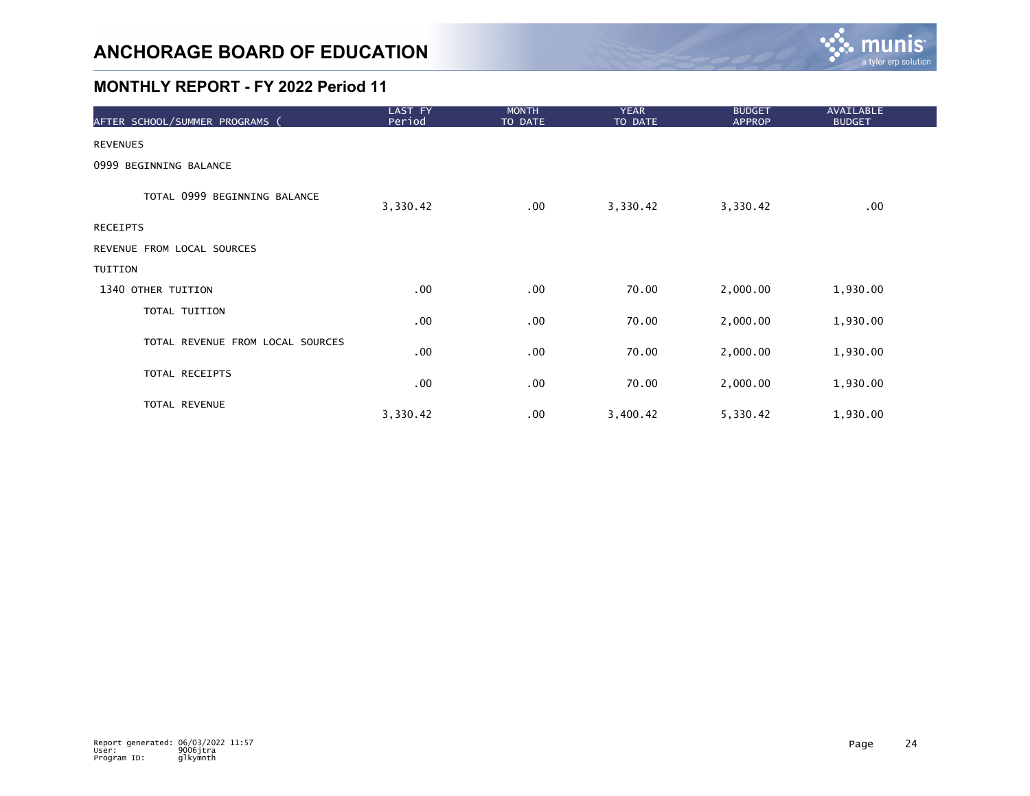

| AFTER SCHOOL/SUMMER PROGRAMS (   | LAST FY<br>Period | <b>MONTH</b><br>TO DATE | <b>YEAR</b><br>TO DATE | <b>BUDGET</b><br><b>APPROP</b> | <b>AVAILABLE</b><br><b>BUDGET</b> |
|----------------------------------|-------------------|-------------------------|------------------------|--------------------------------|-----------------------------------|
| <b>REVENUES</b>                  |                   |                         |                        |                                |                                   |
| 0999 BEGINNING BALANCE           |                   |                         |                        |                                |                                   |
| TOTAL 0999 BEGINNING BALANCE     | 3,330.42          | $.00 \,$                | 3,330.42               | 3,330.42                       | .00                               |
| RECEIPTS                         |                   |                         |                        |                                |                                   |
| REVENUE FROM LOCAL SOURCES       |                   |                         |                        |                                |                                   |
| TUITION                          |                   |                         |                        |                                |                                   |
| 1340 OTHER TUITION               | .00               | .00                     | 70.00                  | 2,000.00                       | 1,930.00                          |
| TOTAL TUITION                    | .00               | .00                     | 70.00                  | 2,000.00                       | 1,930.00                          |
| TOTAL REVENUE FROM LOCAL SOURCES | .00               | .00                     | 70.00                  | 2,000.00                       | 1,930.00                          |
| TOTAL RECEIPTS                   | .00               | .00                     | 70.00                  | 2,000.00                       | 1,930.00                          |
| TOTAL REVENUE                    | 3,330.42          | .00                     | 3,400.42               | 5,330.42                       | 1,930.00                          |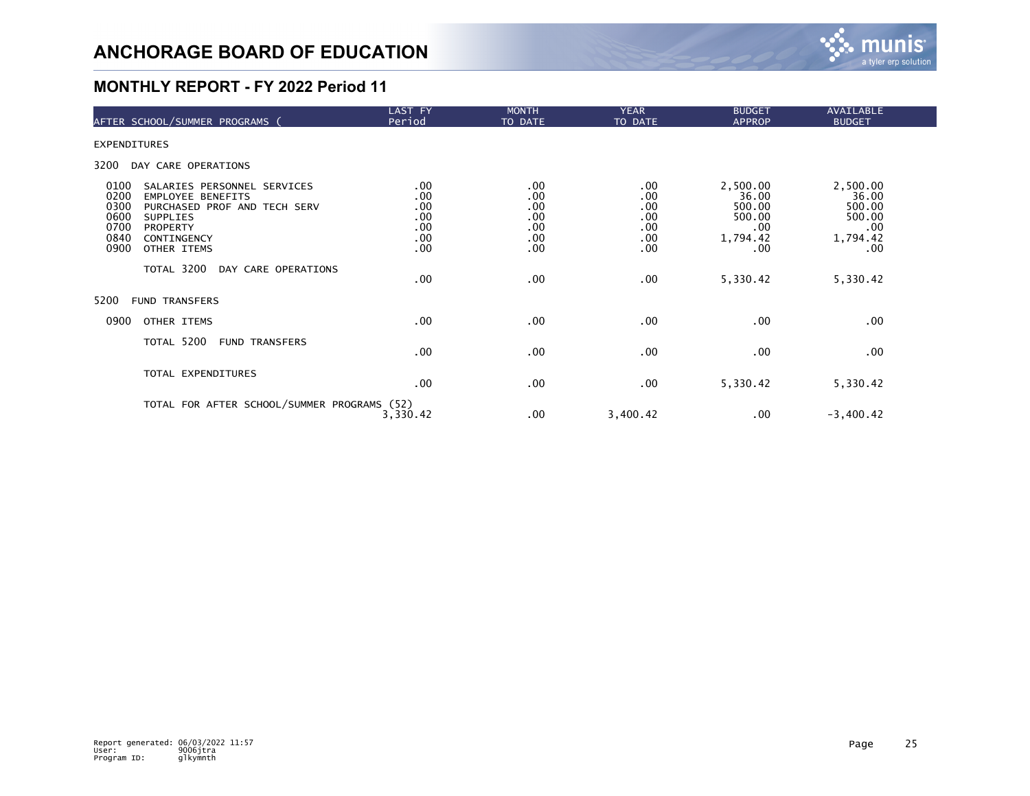

|                                                      | AFTER SCHOOL/SUMMER PROGRAMS (                                                                                                                       | LAST FY<br>Period                             | <b>MONTH</b><br>TO DATE                       | <b>YEAR</b><br>TO DATE                        | <b>BUDGET</b><br><b>APPROP</b>                                  | AVAILABLE<br><b>BUDGET</b>                                           |  |
|------------------------------------------------------|------------------------------------------------------------------------------------------------------------------------------------------------------|-----------------------------------------------|-----------------------------------------------|-----------------------------------------------|-----------------------------------------------------------------|----------------------------------------------------------------------|--|
| <b>EXPENDITURES</b>                                  |                                                                                                                                                      |                                               |                                               |                                               |                                                                 |                                                                      |  |
| 3200                                                 | DAY CARE OPERATIONS                                                                                                                                  |                                               |                                               |                                               |                                                                 |                                                                      |  |
| 0100<br>0200<br>0300<br>0600<br>0700<br>0840<br>0900 | SALARIES PERSONNEL SERVICES<br><b>EMPLOYEE BENEFITS</b><br>PURCHASED PROF AND TECH SERV<br><b>SUPPLIES</b><br>PROPERTY<br>CONTINGENCY<br>OTHER ITEMS | .00<br>.00<br>.00<br>.00<br>.00<br>.00<br>.00 | .00<br>.00<br>.00<br>.00<br>.00<br>.00<br>.00 | .00<br>.00<br>.00<br>.00<br>.00<br>.00<br>.00 | 2,500.00<br>36.00<br>500.00<br>500.00<br>.00<br>1,794.42<br>.00 | 2,500.00<br>36.00<br>500.00<br>500.00<br>$.00 \,$<br>1,794.42<br>.00 |  |
|                                                      | TOTAL 3200<br>DAY CARE OPERATIONS                                                                                                                    | .00                                           | .00                                           | .00                                           | 5,330.42                                                        | 5,330.42                                                             |  |
| 5200                                                 | <b>FUND TRANSFERS</b>                                                                                                                                |                                               |                                               |                                               |                                                                 |                                                                      |  |
| 0900                                                 | OTHER ITEMS                                                                                                                                          | .00                                           | .00                                           | .00                                           | .00                                                             | $.00 \,$                                                             |  |
|                                                      | TOTAL 5200<br><b>FUND TRANSFERS</b>                                                                                                                  | .00                                           | .00                                           | .00                                           | .00                                                             | $.00 \,$                                                             |  |
|                                                      | TOTAL EXPENDITURES                                                                                                                                   | .00                                           | .00                                           | .00                                           | 5,330.42                                                        | 5,330.42                                                             |  |
|                                                      | TOTAL FOR AFTER SCHOOL/SUMMER PROGRAMS (52)                                                                                                          | 3,330.42                                      | .00                                           | 3,400.42                                      | .00                                                             | $-3,400.42$                                                          |  |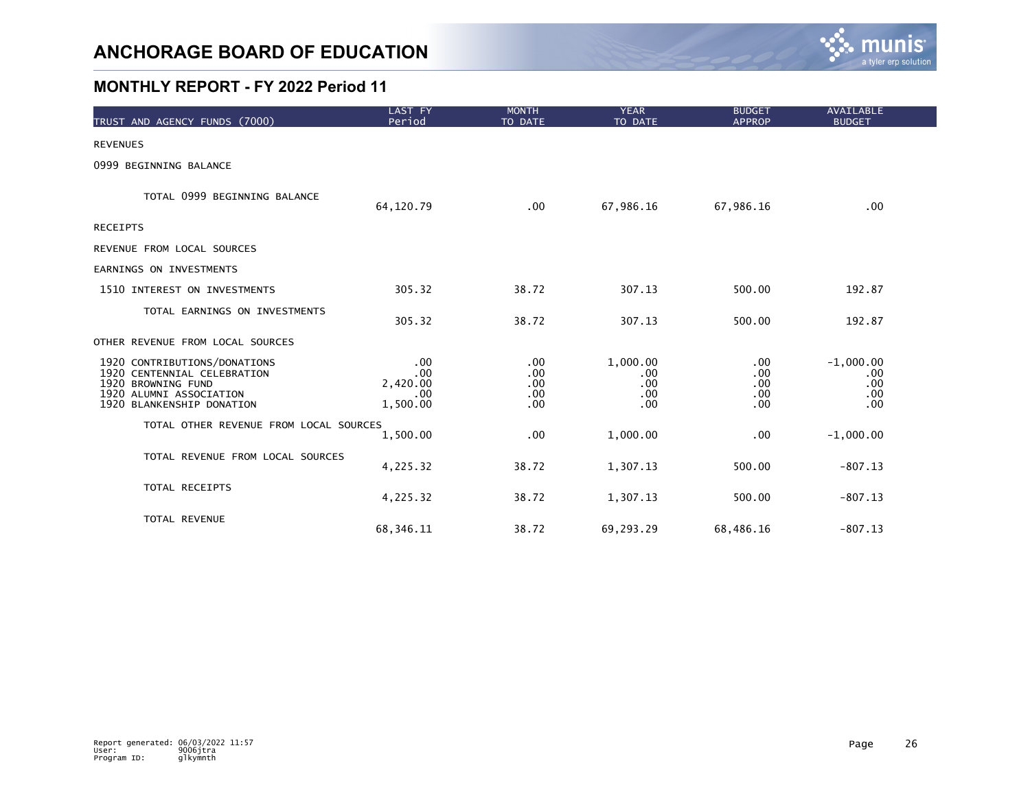

| TRUST AND AGENCY FUNDS (7000)                                                                                                             | LAST FY<br>Period                         | <b>MONTH</b><br>TO DATE                      | <b>YEAR</b><br>TO DATE               | <b>BUDGET</b><br><b>APPROP</b>   | <b>AVAILABLE</b><br><b>BUDGET</b>       |
|-------------------------------------------------------------------------------------------------------------------------------------------|-------------------------------------------|----------------------------------------------|--------------------------------------|----------------------------------|-----------------------------------------|
| <b>REVENUES</b>                                                                                                                           |                                           |                                              |                                      |                                  |                                         |
| 0999 BEGINNING BALANCE                                                                                                                    |                                           |                                              |                                      |                                  |                                         |
| TOTAL 0999 BEGINNING BALANCE                                                                                                              | 64,120.79                                 | .00 <sub>1</sub>                             | 67,986.16                            | 67,986.16                        | .00                                     |
| <b>RECEIPTS</b>                                                                                                                           |                                           |                                              |                                      |                                  |                                         |
| REVENUE FROM LOCAL SOURCES                                                                                                                |                                           |                                              |                                      |                                  |                                         |
| EARNINGS ON INVESTMENTS                                                                                                                   |                                           |                                              |                                      |                                  |                                         |
| 1510 INTEREST ON INVESTMENTS                                                                                                              | 305.32                                    | 38.72                                        | 307.13                               | 500.00                           | 192.87                                  |
| TOTAL EARNINGS ON INVESTMENTS                                                                                                             | 305.32                                    | 38.72                                        | 307.13                               | 500.00                           | 192.87                                  |
| OTHER REVENUE FROM LOCAL SOURCES                                                                                                          |                                           |                                              |                                      |                                  |                                         |
| 1920 CONTRIBUTIONS/DONATIONS<br>1920 CENTENNIAL CELEBRATION<br>1920 BROWNING FUND<br>1920 ALUMNI ASSOCIATION<br>1920 BLANKENSHIP DONATION | .00<br>.00<br>2,420.00<br>.00<br>1,500.00 | .00<br>.00<br>.00<br>.00<br>.00 <sub>1</sub> | 1,000.00<br>.00<br>.00<br>.00<br>.00 | .00<br>.00<br>.00<br>.00.<br>.00 | $-1,000.00$<br>.00<br>.00<br>.00<br>.00 |
| TOTAL OTHER REVENUE FROM LOCAL SOURCES                                                                                                    | 1,500.00                                  | .00                                          | 1,000.00                             | .00                              | $-1,000.00$                             |
| TOTAL REVENUE FROM LOCAL SOURCES                                                                                                          | 4,225.32                                  | 38.72                                        | 1,307.13                             | 500.00                           | $-807.13$                               |
| TOTAL RECEIPTS                                                                                                                            | 4,225.32                                  | 38.72                                        | 1,307.13                             | 500.00                           | $-807.13$                               |
| TOTAL REVENUE                                                                                                                             | 68,346.11                                 | 38.72                                        | 69,293.29                            | 68,486.16                        | $-807.13$                               |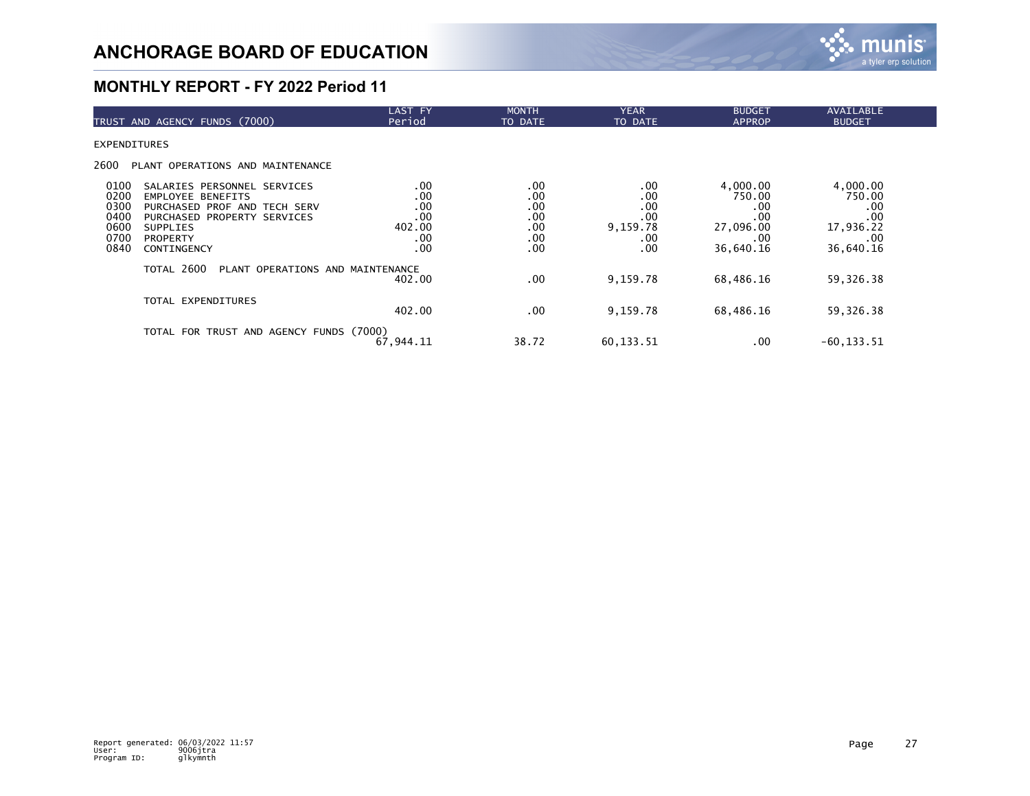

| TRUST AND AGENCY FUNDS (7000)                                                                                                                                                                                                       | LAST FY<br>Period                                | <b>MONTH</b><br>TO DATE                       | <b>YEAR</b><br>TO DATE                             | <b>BUDGET</b><br><b>APPROP</b>                                    | AVAILABLE<br><b>BUDGET</b>                                        |
|-------------------------------------------------------------------------------------------------------------------------------------------------------------------------------------------------------------------------------------|--------------------------------------------------|-----------------------------------------------|----------------------------------------------------|-------------------------------------------------------------------|-------------------------------------------------------------------|
| <b>EXPENDITURES</b>                                                                                                                                                                                                                 |                                                  |                                               |                                                    |                                                                   |                                                                   |
| 2600<br>PLANT OPERATIONS AND MAINTENANCE                                                                                                                                                                                            |                                                  |                                               |                                                    |                                                                   |                                                                   |
| 0100<br>SALARIES PERSONNEL SERVICES<br>0200<br><b>EMPLOYEE BENEFITS</b><br>0300<br>PURCHASED PROF AND TECH SERV<br>0400<br>PURCHASED PROPERTY SERVICES<br>0600<br><b>SUPPLIES</b><br>0700<br><b>PROPERTY</b><br>0840<br>CONTINGENCY | .00<br>.00<br>.00<br>.00<br>402.00<br>.00<br>.00 | .00<br>.00<br>.00<br>.00<br>.00<br>.00<br>.00 | .00<br>.00<br>.00<br>.00<br>9,159.78<br>.00<br>.00 | 4,000.00<br>750.00<br>.00<br>.00<br>27,096.00<br>.00<br>36,640.16 | 4,000.00<br>750.00<br>.00<br>.00<br>17,936.22<br>.00<br>36,640.16 |
| TOTAL 2600<br>PLANT OPERATIONS AND MAINTENANCE                                                                                                                                                                                      | 402.00                                           | .00                                           | 9,159.78                                           | 68,486.16                                                         | 59,326.38                                                         |
| TOTAL EXPENDITURES                                                                                                                                                                                                                  | 402.00                                           | .00                                           | 9,159.78                                           | 68,486.16                                                         | 59,326.38                                                         |
| TOTAL FOR TRUST AND AGENCY FUNDS (7000)                                                                                                                                                                                             | 67,944.11                                        | 38.72                                         | 60,133.51                                          | .00                                                               | $-60, 133.51$                                                     |